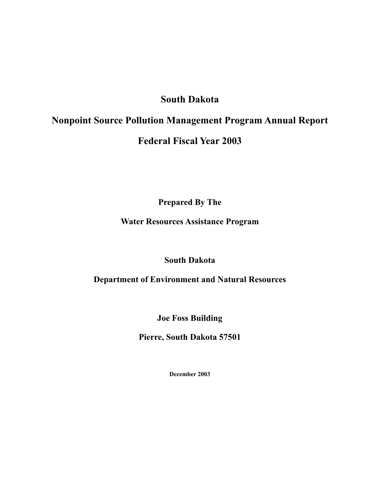## **South Dakota**

## **Nonpoint Source Pollution Management Program Annual Report**

## **Federal Fiscal Year 2003**

**Prepared By The** 

### **Water Resources Assistance Program**

## **South Dakota**

### **Department of Environment and Natural Resources**

**Joe Foss Building** 

**Pierre, South Dakota 57501** 

**December 2003**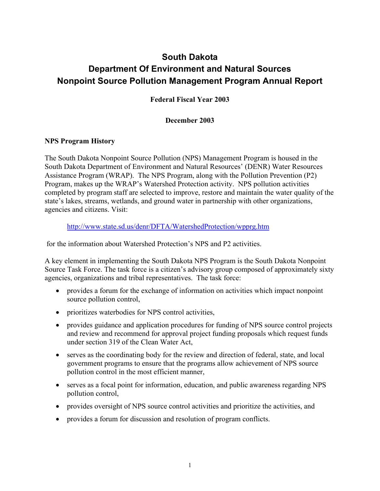# **South Dakota Department Of Environment and Natural Sources Nonpoint Source Pollution Management Program Annual Report**

**Federal Fiscal Year 2003** 

#### **December 2003**

#### **NPS Program History**

The South Dakota Nonpoint Source Pollution (NPS) Management Program is housed in the South Dakota Department of Environment and Natural Resources' (DENR) Water Resources Assistance Program (WRAP). The NPS Program, along with the Pollution Prevention (P2) Program, makes up the WRAP's Watershed Protection activity. NPS pollution activities completed by program staff are selected to improve, restore and maintain the water quality of the state's lakes, streams, wetlands, and ground water in partnership with other organizations, agencies and citizens. Visit:

http://www.state.sd.us/denr/DFTA/WatershedProtection/wpprg.htm

for the information about Watershed Protection's NPS and P2 activities.

A key element in implementing the South Dakota NPS Program is the South Dakota Nonpoint Source Task Force. The task force is a citizen's advisory group composed of approximately sixty agencies, organizations and tribal representatives. The task force:

- provides a forum for the exchange of information on activities which impact nonpoint source pollution control,
- prioritizes waterbodies for NPS control activities,
- provides guidance and application procedures for funding of NPS source control projects and review and recommend for approval project funding proposals which request funds under section 319 of the Clean Water Act,
- serves as the coordinating body for the review and direction of federal, state, and local government programs to ensure that the programs allow achievement of NPS source pollution control in the most efficient manner,
- serves as a focal point for information, education, and public awareness regarding NPS pollution control,
- provides oversight of NPS source control activities and prioritize the activities, and
- provides a forum for discussion and resolution of program conflicts.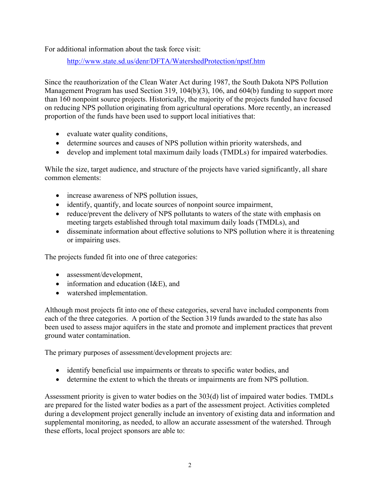For additional information about the task force visit:

http://www.state.sd.us/denr/DFTA/WatershedProtection/npstf.htm

Since the reauthorization of the Clean Water Act during 1987, the South Dakota NPS Pollution Management Program has used Section 319, 104(b)(3), 106, and 604(b) funding to support more than 160 nonpoint source projects. Historically, the majority of the projects funded have focused on reducing NPS pollution originating from agricultural operations. More recently, an increased proportion of the funds have been used to support local initiatives that:

- evaluate water quality conditions,
- determine sources and causes of NPS pollution within priority watersheds, and
- develop and implement total maximum daily loads (TMDLs) for impaired waterbodies.

While the size, target audience, and structure of the projects have varied significantly, all share common elements:

- increase awareness of NPS pollution issues,
- identify, quantify, and locate sources of nonpoint source impairment,
- reduce/prevent the delivery of NPS pollutants to waters of the state with emphasis on meeting targets established through total maximum daily loads (TMDLs), and
- disseminate information about effective solutions to NPS pollution where it is threatening or impairing uses.

The projects funded fit into one of three categories:

- assessment/development,
- information and education (I&E), and
- watershed implementation.

Although most projects fit into one of these categories, several have included components from each of the three categories. A portion of the Section 319 funds awarded to the state has also been used to assess major aquifers in the state and promote and implement practices that prevent ground water contamination.

The primary purposes of assessment/development projects are:

- identify beneficial use impairments or threats to specific water bodies, and
- determine the extent to which the threats or impairments are from NPS pollution.

Assessment priority is given to water bodies on the 303(d) list of impaired water bodies. TMDLs are prepared for the listed water bodies as a part of the assessment project. Activities completed during a development project generally include an inventory of existing data and information and supplemental monitoring, as needed, to allow an accurate assessment of the watershed. Through these efforts, local project sponsors are able to: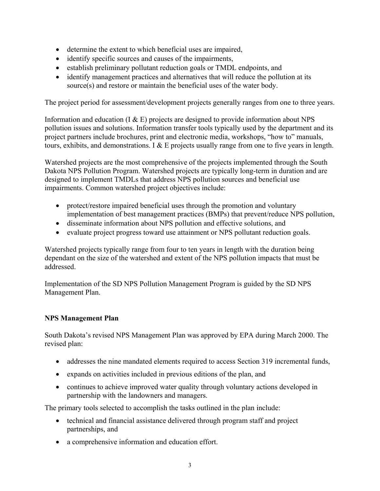- determine the extent to which beneficial uses are impaired,
- identify specific sources and causes of the impairments,
- establish preliminary pollutant reduction goals or TMDL endpoints, and
- identify management practices and alternatives that will reduce the pollution at its source(s) and restore or maintain the beneficial uses of the water body.

The project period for assessment/development projects generally ranges from one to three years.

Information and education  $(I & E)$  projects are designed to provide information about NPS pollution issues and solutions. Information transfer tools typically used by the department and its project partners include brochures, print and electronic media, workshops, "how to" manuals, tours, exhibits, and demonstrations. I & E projects usually range from one to five years in length.

Watershed projects are the most comprehensive of the projects implemented through the South Dakota NPS Pollution Program. Watershed projects are typically long-term in duration and are designed to implement TMDLs that address NPS pollution sources and beneficial use impairments. Common watershed project objectives include:

- protect/restore impaired beneficial uses through the promotion and voluntary implementation of best management practices (BMPs) that prevent/reduce NPS pollution,
- disseminate information about NPS pollution and effective solutions, and
- evaluate project progress toward use attainment or NPS pollutant reduction goals.

Watershed projects typically range from four to ten years in length with the duration being dependant on the size of the watershed and extent of the NPS pollution impacts that must be addressed.

Implementation of the SD NPS Pollution Management Program is guided by the SD NPS Management Plan.

#### **NPS Management Plan**

South Dakota's revised NPS Management Plan was approved by EPA during March 2000. The revised plan:

- addresses the nine mandated elements required to access Section 319 incremental funds,
- expands on activities included in previous editions of the plan, and
- continues to achieve improved water quality through voluntary actions developed in partnership with the landowners and managers.

The primary tools selected to accomplish the tasks outlined in the plan include:

- technical and financial assistance delivered through program staff and project partnerships, and
- a comprehensive information and education effort.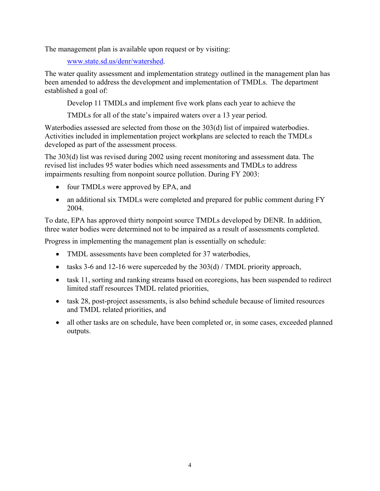The management plan is available upon request or by visiting:

www.state.sd.us/denr/watershed.

The water quality assessment and implementation strategy outlined in the management plan has been amended to address the development and implementation of TMDLs. The department established a goal of:

Develop 11 TMDLs and implement five work plans each year to achieve the

TMDLs for all of the state's impaired waters over a 13 year period.

Waterbodies assessed are selected from those on the 303(d) list of impaired waterbodies. Activities included in implementation project workplans are selected to reach the TMDLs developed as part of the assessment process.

The 303(d) list was revised during 2002 using recent monitoring and assessment data. The revised list includes 95 water bodies which need assessments and TMDLs to address impairments resulting from nonpoint source pollution. During FY 2003:

- four TMDLs were approved by EPA, and
- an additional six TMDLs were completed and prepared for public comment during FY 2004.

To date, EPA has approved thirty nonpoint source TMDLs developed by DENR. In addition, three water bodies were determined not to be impaired as a result of assessments completed.

Progress in implementing the management plan is essentially on schedule:

- TMDL assessments have been completed for 37 waterbodies,
- tasks 3-6 and 12-16 were superceded by the 303(d) / TMDL priority approach,
- task 11, sorting and ranking streams based on ecoregions, has been suspended to redirect limited staff resources TMDL related priorities,
- task 28, post-project assessments, is also behind schedule because of limited resources and TMDL related priorities, and
- all other tasks are on schedule, have been completed or, in some cases, exceeded planned outputs.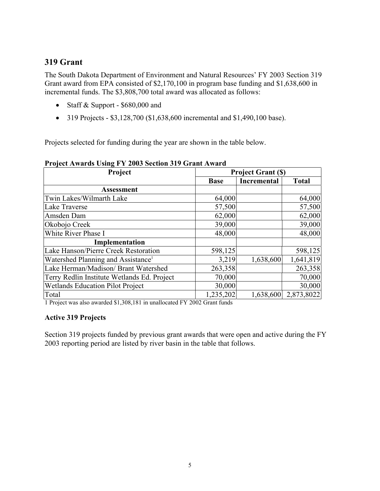## **319 Grant**

The South Dakota Department of Environment and Natural Resources' FY 2003 Section 319 Grant award from EPA consisted of \$2,170,100 in program base funding and \$1,638,600 in incremental funds. The \$3,808,700 total award was allocated as follows:

- Staff & Support \$680,000 and
- 319 Projects  $$3,128,700$  (\$1,638,600 incremental and \$1,490,100 base).

Projects selected for funding during the year are shown in the table below.

#### **Project Awards Using FY 2003 Section 319 Grant Award**

| Project                                        | <b>Project Grant (\$)</b> |                    |              |
|------------------------------------------------|---------------------------|--------------------|--------------|
|                                                | <b>Base</b>               | <b>Incremental</b> | <b>Total</b> |
| <b>Assessment</b>                              |                           |                    |              |
| Twin Lakes/Wilmarth Lake                       | 64,000                    |                    | 64,000       |
| Lake Traverse                                  | 57,500                    |                    | 57,500       |
| Amsden Dam                                     | 62,000                    |                    | 62,000       |
| Okobojo Creek                                  | 39,000                    |                    | 39,000       |
| White River Phase I                            | 48,000                    |                    | 48,000       |
| Implementation                                 |                           |                    |              |
| <b>Lake Hanson/Pierre Creek Restoration</b>    | 598,125                   |                    | 598,125      |
| Watershed Planning and Assistance <sup>1</sup> | 3,219                     | 1,638,600          | 1,641,819    |
| Lake Herman/Madison/ Brant Watershed           | 263,358                   |                    | 263,358      |
| Terry Redlin Institute Wetlands Ed. Project    | 70,000                    |                    | 70,000       |
| <b>Wetlands Education Pilot Project</b>        | 30,000                    |                    | 30,000       |
| Total                                          | 1,235,202                 | 1,638,600          | 2,873,8022   |

1 Project was also awarded \$1,308,181 in unallocated FY 2002 Grant funds

#### **Active 319 Projects**

Section 319 projects funded by previous grant awards that were open and active during the FY 2003 reporting period are listed by river basin in the table that follows.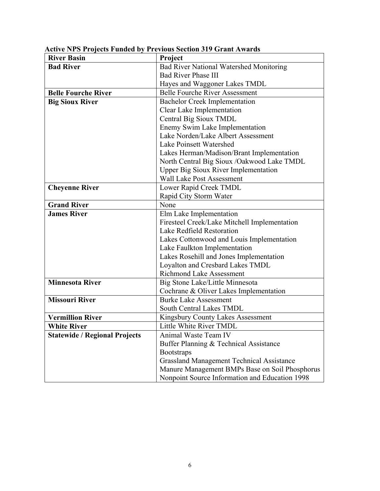| <b>River Basin</b>                   | Project                                          |  |
|--------------------------------------|--------------------------------------------------|--|
| <b>Bad River</b>                     | <b>Bad River National Watershed Monitoring</b>   |  |
|                                      | <b>Bad River Phase III</b>                       |  |
|                                      | Hayes and Waggoner Lakes TMDL                    |  |
| <b>Belle Fourche River</b>           | <b>Belle Fourche River Assessment</b>            |  |
| <b>Big Sioux River</b>               | <b>Bachelor Creek Implementation</b>             |  |
|                                      | Clear Lake Implementation                        |  |
|                                      | Central Big Sioux TMDL                           |  |
|                                      | Enemy Swim Lake Implementation                   |  |
|                                      | Lake Norden/Lake Albert Assessment               |  |
|                                      | Lake Poinsett Watershed                          |  |
|                                      | Lakes Herman/Madison/Brant Implementation        |  |
|                                      | North Central Big Sioux /Oakwood Lake TMDL       |  |
|                                      | <b>Upper Big Sioux River Implementation</b>      |  |
|                                      | <b>Wall Lake Post Assessment</b>                 |  |
| <b>Cheyenne River</b>                | Lower Rapid Creek TMDL                           |  |
|                                      | Rapid City Storm Water                           |  |
| <b>Grand River</b>                   | None                                             |  |
| <b>James River</b>                   | Elm Lake Implementation                          |  |
|                                      | Firesteel Creek/Lake Mitchell Implementation     |  |
|                                      | Lake Redfield Restoration                        |  |
|                                      | Lakes Cottonwood and Louis Implementation        |  |
|                                      | Lake Faulkton Implementation                     |  |
|                                      | Lakes Rosehill and Jones Implementation          |  |
|                                      | Loyalton and Cresbard Lakes TMDL                 |  |
|                                      | <b>Richmond Lake Assessment</b>                  |  |
| <b>Minnesota River</b>               | Big Stone Lake/Little Minnesota                  |  |
|                                      | Cochrane & Oliver Lakes Implementation           |  |
| <b>Missouri River</b>                | <b>Burke Lake Assessment</b>                     |  |
|                                      | South Central Lakes TMDL                         |  |
| <b>Vermillion River</b>              | Kingsbury County Lakes Assessment                |  |
| <b>White River</b>                   | Little White River TMDL                          |  |
| <b>Statewide / Regional Projects</b> | Animal Waste Team IV                             |  |
|                                      | Buffer Planning & Technical Assistance           |  |
|                                      | <b>Bootstraps</b>                                |  |
|                                      | <b>Grassland Management Technical Assistance</b> |  |
|                                      | Manure Management BMPs Base on Soil Phosphorus   |  |
|                                      | Nonpoint Source Information and Education 1998   |  |

**Active NPS Projects Funded by Previous Section 319 Grant Awards**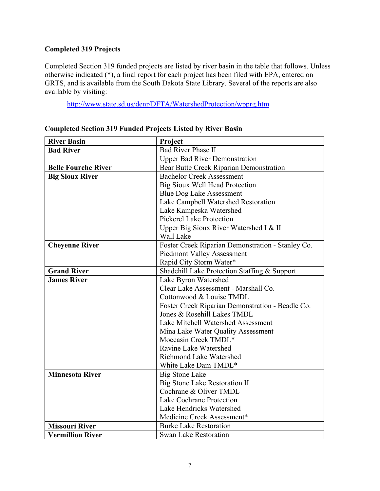### **Completed 319 Projects**

Completed Section 319 funded projects are listed by river basin in the table that follows. Unless otherwise indicated (\*), a final report for each project has been filed with EPA, entered on GRTS, and is available from the South Dakota State Library. Several of the reports are also available by visiting:

http://www.state.sd.us/denr/DFTA/WatershedProtection/wpprg.htm

| <b>River Basin</b>         | Project                                           |  |
|----------------------------|---------------------------------------------------|--|
| <b>Bad River</b>           | <b>Bad River Phase II</b>                         |  |
|                            | <b>Upper Bad River Demonstration</b>              |  |
| <b>Belle Fourche River</b> | Bear Butte Creek Riparian Demonstration           |  |
| <b>Big Sioux River</b>     | <b>Bachelor Creek Assessment</b>                  |  |
|                            | Big Sioux Well Head Protection                    |  |
|                            | <b>Blue Dog Lake Assessment</b>                   |  |
|                            | Lake Campbell Watershed Restoration               |  |
|                            | Lake Kampeska Watershed                           |  |
|                            | <b>Pickerel Lake Protection</b>                   |  |
|                            | Upper Big Sioux River Watershed I & II            |  |
|                            | Wall Lake                                         |  |
| <b>Cheyenne River</b>      | Foster Creek Riparian Demonstration - Stanley Co. |  |
|                            | <b>Piedmont Valley Assessment</b>                 |  |
|                            | Rapid City Storm Water*                           |  |
| <b>Grand River</b>         | Shadehill Lake Protection Staffing & Support      |  |
| <b>James River</b>         | Lake Byron Watershed                              |  |
|                            | Clear Lake Assessment - Marshall Co.              |  |
|                            | Cottonwood & Louise TMDL                          |  |
|                            | Foster Creek Riparian Demonstration - Beadle Co.  |  |
|                            | Jones & Rosehill Lakes TMDL                       |  |
|                            | Lake Mitchell Watershed Assessment                |  |
|                            | Mina Lake Water Quality Assessment                |  |
|                            | Moccasin Creek TMDL*                              |  |
|                            | Ravine Lake Watershed                             |  |
|                            | Richmond Lake Watershed                           |  |
|                            | White Lake Dam TMDL*                              |  |
| <b>Minnesota River</b>     | <b>Big Stone Lake</b>                             |  |
|                            | <b>Big Stone Lake Restoration II</b>              |  |
|                            | Cochrane & Oliver TMDL                            |  |
|                            | Lake Cochrane Protection                          |  |
|                            | Lake Hendricks Watershed                          |  |
|                            | Medicine Creek Assessment*                        |  |
| <b>Missouri River</b>      | <b>Burke Lake Restoration</b>                     |  |
| <b>Vermillion River</b>    | <b>Swan Lake Restoration</b>                      |  |

#### **Completed Section 319 Funded Projects Listed by River Basin**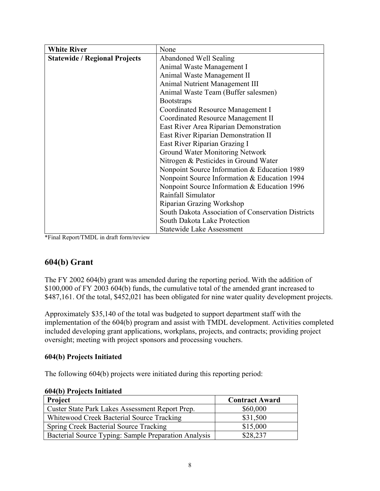| <b>White River</b>                   | None                                               |  |
|--------------------------------------|----------------------------------------------------|--|
| <b>Statewide / Regional Projects</b> | Abandoned Well Sealing                             |  |
|                                      | Animal Waste Management I                          |  |
|                                      | Animal Waste Management II                         |  |
|                                      | <b>Animal Nutrient Management III</b>              |  |
|                                      | Animal Waste Team (Buffer salesmen)                |  |
|                                      | <b>Bootstraps</b>                                  |  |
|                                      | <b>Coordinated Resource Management I</b>           |  |
|                                      | Coordinated Resource Management II                 |  |
|                                      | East River Area Riparian Demonstration             |  |
|                                      | East River Riparian Demonstration II               |  |
|                                      | East River Riparian Grazing I                      |  |
|                                      | Ground Water Monitoring Network                    |  |
|                                      | Nitrogen & Pesticides in Ground Water              |  |
|                                      | Nonpoint Source Information & Education 1989       |  |
|                                      | Nonpoint Source Information & Education 1994       |  |
|                                      | Nonpoint Source Information & Education 1996       |  |
|                                      | Rainfall Simulator                                 |  |
|                                      | Riparian Grazing Workshop                          |  |
|                                      | South Dakota Association of Conservation Districts |  |
|                                      | South Dakota Lake Protection                       |  |
|                                      | <b>Statewide Lake Assessment</b>                   |  |

\*Final Report/TMDL in draft form/review

### **604(b) Grant**

The FY 2002 604(b) grant was amended during the reporting period. With the addition of \$100,000 of FY 2003 604(b) funds, the cumulative total of the amended grant increased to \$487,161. Of the total, \$452,021 has been obligated for nine water quality development projects.

Approximately \$35,140 of the total was budgeted to support department staff with the implementation of the 604(b) program and assist with TMDL development. Activities completed included developing grant applications, workplans, projects, and contracts; providing project oversight; meeting with project sponsors and processing vouchers.

#### **604(b) Projects Initiated**

The following 604(b) projects were initiated during this reporting period:

|  | 604(b) Projects Initiated |  |
|--|---------------------------|--|
|--|---------------------------|--|

| <b>Project</b>                                       | <b>Contract Award</b> |
|------------------------------------------------------|-----------------------|
| Custer State Park Lakes Assessment Report Prep.      | \$60,000              |
| Whitewood Creek Bacterial Source Tracking            | \$31,500              |
| <b>Spring Creek Bacterial Source Tracking</b>        | \$15,000              |
| Bacterial Source Typing: Sample Preparation Analysis | \$28,237              |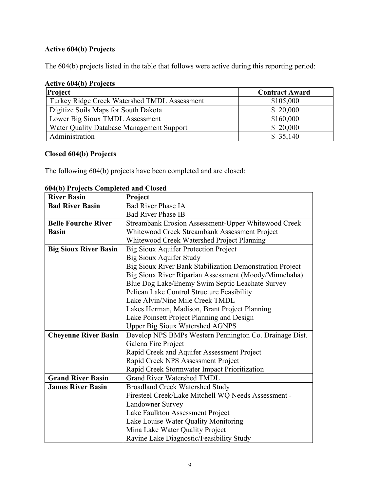### **Active 604(b) Projects**

The 604(b) projects listed in the table that follows were active during this reporting period:

### **Active 604(b) Projects**

| Project                                      | <b>Contract Award</b> |
|----------------------------------------------|-----------------------|
| Turkey Ridge Creek Watershed TMDL Assessment | \$105,000             |
| Digitize Soils Maps for South Dakota         | \$20,000              |
| Lower Big Sioux TMDL Assessment              | \$160,000             |
| Water Quality Database Management Support    | \$20,000              |
| Administration                               | \$35,140              |

#### **Closed 604(b) Projects**

The following 604(b) projects have been completed and are closed:

| 00 <del>1</del> (D) 1 Fojects Completed and Closed<br><b>River Basin</b> | Project                                                  |  |  |
|--------------------------------------------------------------------------|----------------------------------------------------------|--|--|
| <b>Bad River Basin</b>                                                   | <b>Bad River Phase IA</b>                                |  |  |
|                                                                          | <b>Bad River Phase IB</b>                                |  |  |
| <b>Belle Fourche River</b>                                               | Streambank Erosion Assessment-Upper Whitewood Creek      |  |  |
| <b>Basin</b>                                                             | Whitewood Creek Streambank Assessment Project            |  |  |
|                                                                          | Whitewood Creek Watershed Project Planning               |  |  |
| <b>Big Sioux River Basin</b>                                             | <b>Big Sioux Aquifer Protection Project</b>              |  |  |
|                                                                          | <b>Big Sioux Aquifer Study</b>                           |  |  |
|                                                                          | Big Sioux River Bank Stabilization Demonstration Project |  |  |
|                                                                          | Big Sioux River Riparian Assessment (Moody/Minnehaha)    |  |  |
|                                                                          | Blue Dog Lake/Enemy Swim Septic Leachate Survey          |  |  |
|                                                                          | Pelican Lake Control Structure Feasibility               |  |  |
|                                                                          | Lake Alvin/Nine Mile Creek TMDL                          |  |  |
|                                                                          | Lakes Herman, Madison, Brant Project Planning            |  |  |
|                                                                          | Lake Poinsett Project Planning and Design                |  |  |
|                                                                          | <b>Upper Big Sioux Watershed AGNPS</b>                   |  |  |
| <b>Cheyenne River Basin</b>                                              | Develop NPS BMPs Western Pennington Co. Drainage Dist.   |  |  |
|                                                                          | Galena Fire Project                                      |  |  |
|                                                                          | Rapid Creek and Aquifer Assessment Project               |  |  |
|                                                                          | Rapid Creek NPS Assessment Project                       |  |  |
|                                                                          | Rapid Creek Stormwater Impact Prioritization             |  |  |
| <b>Grand River Basin</b>                                                 | <b>Grand River Watershed TMDL</b>                        |  |  |
| <b>James River Basin</b>                                                 | <b>Broadland Creek Watershed Study</b>                   |  |  |
|                                                                          | Firesteel Creek/Lake Mitchell WQ Needs Assessment -      |  |  |
|                                                                          | <b>Landowner Survey</b>                                  |  |  |
|                                                                          | Lake Faulkton Assessment Project                         |  |  |
|                                                                          | Lake Louise Water Quality Monitoring                     |  |  |
|                                                                          | Mina Lake Water Quality Project                          |  |  |
|                                                                          | Ravine Lake Diagnostic/Feasibility Study                 |  |  |

**604(b) Projects Completed and Closed**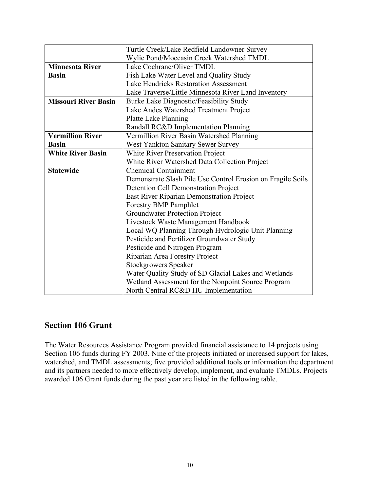|                             | Turtle Creek/Lake Redfield Landowner Survey                 |  |  |
|-----------------------------|-------------------------------------------------------------|--|--|
|                             | Wylie Pond/Moccasin Creek Watershed TMDL                    |  |  |
| <b>Minnesota River</b>      | Lake Cochrane/Oliver TMDL                                   |  |  |
| <b>Basin</b>                | Fish Lake Water Level and Quality Study                     |  |  |
|                             | Lake Hendricks Restoration Assessment                       |  |  |
|                             | Lake Traverse/Little Minnesota River Land Inventory         |  |  |
| <b>Missouri River Basin</b> | Burke Lake Diagnostic/Feasibility Study                     |  |  |
|                             | Lake Andes Watershed Treatment Project                      |  |  |
|                             | Platte Lake Planning                                        |  |  |
|                             | Randall RC&D Implementation Planning                        |  |  |
| <b>Vermillion River</b>     | Vermillion River Basin Watershed Planning                   |  |  |
| <b>Basin</b>                | West Yankton Sanitary Sewer Survey                          |  |  |
| <b>White River Basin</b>    | White River Preservation Project                            |  |  |
|                             | White River Watershed Data Collection Project               |  |  |
| <b>Statewide</b>            | <b>Chemical Containment</b>                                 |  |  |
|                             | Demonstrate Slash Pile Use Control Erosion on Fragile Soils |  |  |
|                             | <b>Detention Cell Demonstration Project</b>                 |  |  |
|                             | East River Riparian Demonstration Project                   |  |  |
|                             | Forestry BMP Pamphlet                                       |  |  |
|                             | Groundwater Protection Project                              |  |  |
|                             | Livestock Waste Management Handbook                         |  |  |
|                             | Local WQ Planning Through Hydrologic Unit Planning          |  |  |
|                             | Pesticide and Fertilizer Groundwater Study                  |  |  |
|                             | Pesticide and Nitrogen Program                              |  |  |
|                             | Riparian Area Forestry Project                              |  |  |
|                             | <b>Stockgrowers Speaker</b>                                 |  |  |
|                             | Water Quality Study of SD Glacial Lakes and Wetlands        |  |  |
|                             | Wetland Assessment for the Nonpoint Source Program          |  |  |
|                             | North Central RC&D HU Implementation                        |  |  |

### **Section 106 Grant**

The Water Resources Assistance Program provided financial assistance to 14 projects using Section 106 funds during FY 2003. Nine of the projects initiated or increased support for lakes, watershed, and TMDL assessments; five provided additional tools or information the department and its partners needed to more effectively develop, implement, and evaluate TMDLs. Projects awarded 106 Grant funds during the past year are listed in the following table.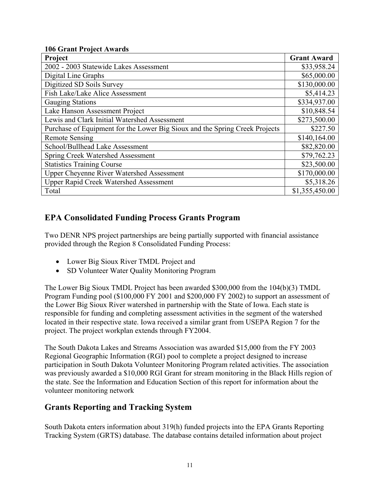#### **106 Grant Project Awards**

| Project                                                                     | <b>Grant Award</b> |
|-----------------------------------------------------------------------------|--------------------|
| 2002 - 2003 Statewide Lakes Assessment                                      | \$33,958.24        |
| Digital Line Graphs                                                         | \$65,000.00        |
| Digitized SD Soils Survey                                                   | \$130,000.00       |
| Fish Lake/Lake Alice Assessment                                             | \$5,414.23         |
| <b>Gauging Stations</b>                                                     | \$334,937.00       |
| Lake Hanson Assessment Project                                              | \$10,848.54        |
| Lewis and Clark Initial Watershed Assessment                                | \$273,500.00       |
| Purchase of Equipment for the Lower Big Sioux and the Spring Creek Projects | \$227.50           |
| <b>Remote Sensing</b>                                                       | \$140,164.00       |
| School/Bullhead Lake Assessment                                             | \$82,820.00        |
| Spring Creek Watershed Assessment                                           | \$79,762.23        |
| <b>Statistics Training Course</b>                                           | \$23,500.00        |
| <b>Upper Cheyenne River Watershed Assessment</b>                            | \$170,000.00       |
| <b>Upper Rapid Creek Watershed Assessment</b>                               | \$5,318.26         |
| Total                                                                       | \$1,355,450.00     |

## **EPA Consolidated Funding Process Grants Program**

Two DENR NPS project partnerships are being partially supported with financial assistance provided through the Region 8 Consolidated Funding Process:

- Lower Big Sioux River TMDL Project and
- SD Volunteer Water Quality Monitoring Program

The Lower Big Sioux TMDL Project has been awarded \$300,000 from the 104(b)(3) TMDL Program Funding pool (\$100,000 FY 2001 and \$200,000 FY 2002) to support an assessment of the Lower Big Sioux River watershed in partnership with the State of Iowa. Each state is responsible for funding and completing assessment activities in the segment of the watershed located in their respective state. Iowa received a similar grant from USEPA Region 7 for the project. The project workplan extends through FY2004.

The South Dakota Lakes and Streams Association was awarded \$15,000 from the FY 2003 Regional Geographic Information (RGI) pool to complete a project designed to increase participation in South Dakota Volunteer Monitoring Program related activities. The association was previously awarded a \$10,000 RGI Grant for stream monitoring in the Black Hills region of the state. See the Information and Education Section of this report for information about the volunteer monitoring network

### **Grants Reporting and Tracking System**

South Dakota enters information about 319(h) funded projects into the EPA Grants Reporting Tracking System (GRTS) database. The database contains detailed information about project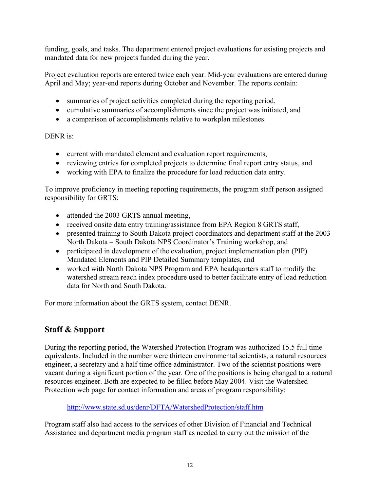funding, goals, and tasks. The department entered project evaluations for existing projects and mandated data for new projects funded during the year.

Project evaluation reports are entered twice each year. Mid-year evaluations are entered during April and May; year-end reports during October and November. The reports contain:

- summaries of project activities completed during the reporting period,
- cumulative summaries of accomplishments since the project was initiated, and
- a comparison of accomplishments relative to workplan milestones.

#### DENR is:

- current with mandated element and evaluation report requirements,
- reviewing entries for completed projects to determine final report entry status, and
- working with EPA to finalize the procedure for load reduction data entry.

To improve proficiency in meeting reporting requirements, the program staff person assigned responsibility for GRTS:

- attended the 2003 GRTS annual meeting,
- received onsite data entry training/assistance from EPA Region 8 GRTS staff,
- presented training to South Dakota project coordinators and department staff at the 2003 North Dakota – South Dakota NPS Coordinator's Training workshop, and
- participated in development of the evaluation, project implementation plan (PIP) Mandated Elements and PIP Detailed Summary templates, and
- worked with North Dakota NPS Program and EPA headquarters staff to modify the watershed stream reach index procedure used to better facilitate entry of load reduction data for North and South Dakota.

For more information about the GRTS system, contact DENR.

## **Staff & Support**

During the reporting period, the Watershed Protection Program was authorized 15.5 full time equivalents. Included in the number were thirteen environmental scientists, a natural resources engineer, a secretary and a half time office administrator. Two of the scientist positions were vacant during a significant portion of the year. One of the positions is being changed to a natural resources engineer. Both are expected to be filled before May 2004. Visit the Watershed Protection web page for contact information and areas of program responsibility:

http://www.state.sd.us/denr/DFTA/WatershedProtection/staff.htm

Program staff also had access to the services of other Division of Financial and Technical Assistance and department media program staff as needed to carry out the mission of the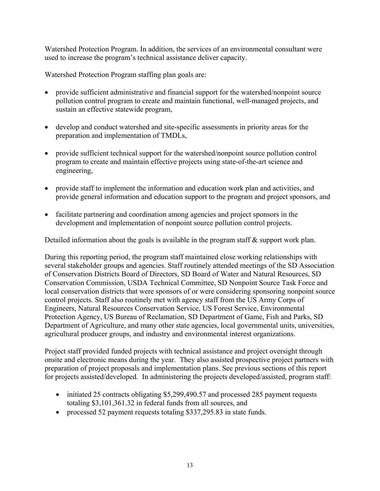Watershed Protection Program. In addition, the services of an environmental consultant were used to increase the program's technical assistance deliver capacity.

Watershed Protection Program staffing plan goals are:

- provide sufficient administrative and financial support for the watershed/nonpoint source pollution control program to create and maintain functional, well-managed projects, and sustain an effective statewide program,
- develop and conduct watershed and site-specific assessments in priority areas for the preparation and implementation of TMDLs,
- provide sufficient technical support for the watershed/nonpoint source pollution control program to create and maintain effective projects using state-of-the-art science and engineering,
- provide staff to implement the information and education work plan and activities, and provide general information and education support to the program and project sponsors, and
- facilitate partnering and coordination among agencies and project sponsors in the development and implementation of nonpoint source pollution control projects.

Detailed information about the goals is available in the program staff & support work plan.

During this reporting period, the program staff maintained close working relationships with several stakeholder groups and agencies. Staff routinely attended meetings of the SD Association of Conservation Districts Board of Directors, SD Board of Water and Natural Resources, SD Conservation Commission, USDA Technical Committee, SD Nonpoint Source Task Force and local conservation districts that were sponsors of or were considering sponsoring nonpoint source control projects. Staff also routinely met with agency staff from the US Army Corps of Engineers, Natural Resources Conservation Service, US Forest Service, Environmental Protection Agency, US Bureau of Reclamation, SD Department of Game, Fish and Parks, SD Department of Agriculture, and many other state agencies, local governmental units, universities, agricultural producer groups, and industry and environmental interest organizations.

Project staff provided funded projects with technical assistance and project oversight through onsite and electronic means during the year. They also assisted prospective project partners with preparation of project proposals and implementation plans. See previous sections of this report for projects assisted/developed. In administering the projects developed/assisted, program staff:

- initiated 25 contracts obligating \$5,299,490.57 and processed 285 payment requests totaling \$3,101,361.32 in federal funds from all sources, and
- processed 52 payment requests totaling \$337,295.83 in state funds.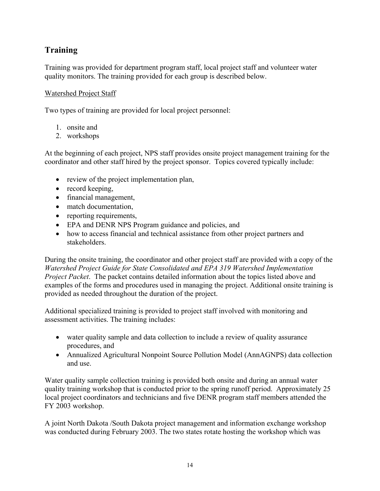## **Training**

Training was provided for department program staff, local project staff and volunteer water quality monitors. The training provided for each group is described below.

### Watershed Project Staff

Two types of training are provided for local project personnel:

- 1. onsite and
- 2. workshops

At the beginning of each project, NPS staff provides onsite project management training for the coordinator and other staff hired by the project sponsor. Topics covered typically include:

- review of the project implementation plan,
- record keeping,
- financial management,
- match documentation,
- reporting requirements,
- EPA and DENR NPS Program guidance and policies, and
- how to access financial and technical assistance from other project partners and stakeholders.

During the onsite training, the coordinator and other project staff are provided with a copy of the *Watershed Project Guide for State Consolidated and EPA 319 Watershed Implementation Project Packet*. The packet contains detailed information about the topics listed above and examples of the forms and procedures used in managing the project. Additional onsite training is provided as needed throughout the duration of the project.

Additional specialized training is provided to project staff involved with monitoring and assessment activities. The training includes:

- water quality sample and data collection to include a review of quality assurance procedures, and
- Annualized Agricultural Nonpoint Source Pollution Model (AnnAGNPS) data collection and use.

Water quality sample collection training is provided both onsite and during an annual water quality training workshop that is conducted prior to the spring runoff period. Approximately 25 local project coordinators and technicians and five DENR program staff members attended the FY 2003 workshop.

A joint North Dakota /South Dakota project management and information exchange workshop was conducted during February 2003. The two states rotate hosting the workshop which was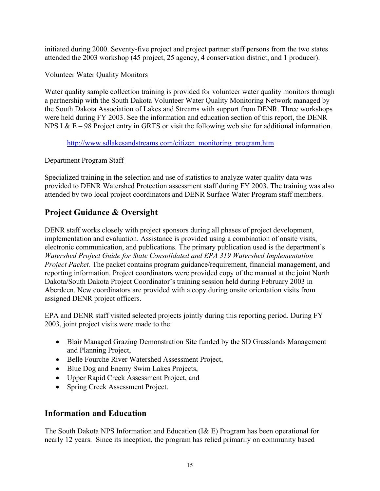initiated during 2000. Seventy-five project and project partner staff persons from the two states attended the 2003 workshop (45 project, 25 agency, 4 conservation district, and 1 producer).

#### Volunteer Water Quality Monitors

Water quality sample collection training is provided for volunteer water quality monitors through a partnership with the South Dakota Volunteer Water Quality Monitoring Network managed by the South Dakota Association of Lakes and Streams with support from DENR. Three workshops were held during FY 2003. See the information and education section of this report, the DENR NPS I  $& E - 98$  Project entry in GRTS or visit the following web site for additional information.

#### http://www.sdlakesandstreams.com/citizen\_monitoring\_program.htm

#### Department Program Staff

Specialized training in the selection and use of statistics to analyze water quality data was provided to DENR Watershed Protection assessment staff during FY 2003. The training was also attended by two local project coordinators and DENR Surface Water Program staff members.

## **Project Guidance & Oversight**

DENR staff works closely with project sponsors during all phases of project development, implementation and evaluation. Assistance is provided using a combination of onsite visits, electronic communication, and publications. The primary publication used is the department's *Watershed Project Guide for State Consolidated and EPA 319 Watershed Implementation Project Packet.* The packet contains program guidance/requirement, financial management, and reporting information. Project coordinators were provided copy of the manual at the joint North Dakota/South Dakota Project Coordinator's training session held during February 2003 in Aberdeen. New coordinators are provided with a copy during onsite orientation visits from assigned DENR project officers.

EPA and DENR staff visited selected projects jointly during this reporting period. During FY 2003, joint project visits were made to the:

- Blair Managed Grazing Demonstration Site funded by the SD Grasslands Management and Planning Project,
- Belle Fourche River Watershed Assessment Project,
- Blue Dog and Enemy Swim Lakes Projects,
- Upper Rapid Creek Assessment Project, and
- Spring Creek Assessment Project.

### **Information and Education**

The South Dakota NPS Information and Education (I& E) Program has been operational for nearly 12 years. Since its inception, the program has relied primarily on community based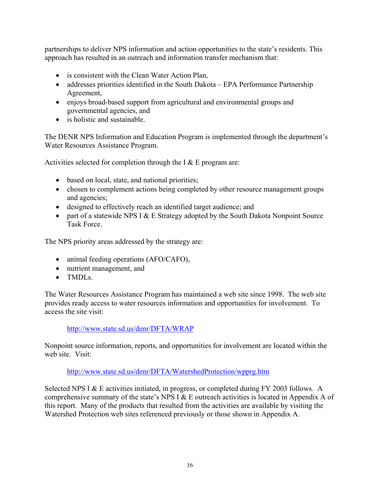partnerships to deliver NPS information and action opportunities to the state's residents. This approach has resulted in an outreach and information transfer mechanism that:

- is consistent with the Clean Water Action Plan,
- addresses priorities identified in the South Dakota EPA Performance Partnership Agreement,
- enjoys broad-based support from agricultural and environmental groups and governmental agencies, and
- is holistic and sustainable.

The DENR NPS Information and Education Program is implemented through the department's Water Resources Assistance Program.

Activities selected for completion through the I  $&$  E program are:

- based on local, state, and national priorities;
- chosen to complement actions being completed by other resource management groups and agencies;
- designed to effectively reach an identified target audience; and
- part of a statewide NPS I  $& E$  Strategy adopted by the South Dakota Nonpoint Source Task Force.

The NPS priority areas addressed by the strategy are:

- animal feeding operations (AFO/CAFO),
- nutrient management, and
- TMDLs

The Water Resources Assistance Program has maintained a web site since 1998. The web site provides ready access to water resources information and opportunities for involvement. To access the site visit:

#### http://www.state.sd.us/denr/DFTA/WRAP

Nonpoint source information, reports, and opportunities for involvement are located within the web site. Visit:

#### http://www.state.sd.us/denr/DFTA/WatershedProtection/wpprg.htm

Selected NPS I & E activities initiated, in progress, or completed during FY 2003 follows. A comprehensive summary of the state's NPS I & E outreach activities is located in Appendix A of this report. Many of the products that resulted from the activities are available by visiting the Watershed Protection web sites referenced previously or those shown in Appendix A.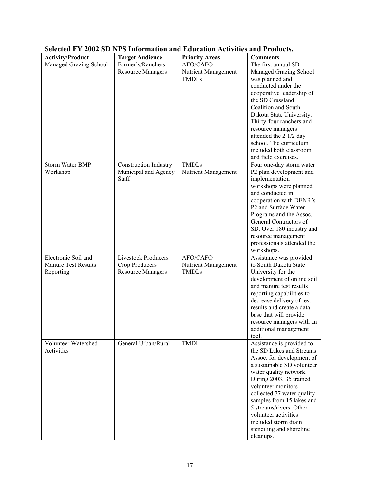| <b>Activity/Product</b>                                 | <b>Target Audience</b>                                                   | <b>Priority Areas</b>                           | <b>Comments</b>                                                                                                                                                                                                                                                                                                                                                            |
|---------------------------------------------------------|--------------------------------------------------------------------------|-------------------------------------------------|----------------------------------------------------------------------------------------------------------------------------------------------------------------------------------------------------------------------------------------------------------------------------------------------------------------------------------------------------------------------------|
| Managed Grazing School                                  | Farmer's/Ranchers<br><b>Resource Managers</b>                            | AFO/CAFO<br>Nutrient Management<br><b>TMDLs</b> | The first annual SD<br>Managed Grazing School<br>was planned and<br>conducted under the<br>cooperative leadership of<br>the SD Grassland<br>Coalition and South<br>Dakota State University.<br>Thirty-four ranchers and<br>resource managers<br>attended the 2 1/2 day<br>school. The curriculum<br>included both classroom<br>and field exercises.                        |
| Storm Water BMP<br>Workshop                             | Construction Industry<br>Municipal and Agency<br>Staff                   | <b>TMDLs</b><br>Nutrient Management             | Four one-day storm water<br>P2 plan development and<br>implementation<br>workshops were planned<br>and conducted in<br>cooperation with DENR's<br>P2 and Surface Water<br>Programs and the Assoc,<br>General Contractors of<br>SD. Over 180 industry and<br>resource management<br>professionals attended the<br>workshops.                                                |
| Electronic Soil and<br>Manure Test Results<br>Reporting | <b>Livestock Producers</b><br>Crop Producers<br><b>Resource Managers</b> | AFO/CAFO<br>Nutrient Management<br><b>TMDLs</b> | Assistance was provided<br>to South Dakota State<br>University for the<br>development of online soil<br>and manure test results<br>reporting capabilities to<br>decrease delivery of test<br>results and create a data<br>base that will provide<br>resource managers with an<br>additional management<br>tool.                                                            |
| Volunteer Watershed<br>Activities                       | General Urban/Rural                                                      | <b>TMDL</b>                                     | Assistance is provided to<br>the SD Lakes and Streams<br>Assoc. for development of<br>a sustainable SD volunteer<br>water quality network.<br>During 2003, 35 trained<br>volunteer monitors<br>collected 77 water quality<br>samples from 15 lakes and<br>5 streams/rivers. Other<br>volunteer activities<br>included storm drain<br>stenciling and shoreline<br>cleanups. |

### **Selected FY 2002 SD NPS Information and Education Activities and Products.**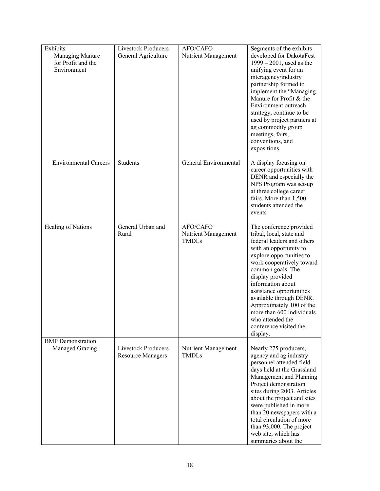| Exhibits<br>Managing Manure<br>for Profit and the<br>Environment | <b>Livestock Producers</b><br>General Agriculture      | AFO/CAFO<br>Nutrient Management                 | Segments of the exhibits<br>developed for DakotaFest<br>$1999 - 2001$ , used as the<br>unifying event for an<br>interagency/industry<br>partnership formed to<br>implement the "Managing<br>Manure for Profit & the<br>Environment outreach<br>strategy, continue to be<br>used by project partners at<br>ag commodity group<br>meetings, fairs,<br>conventions, and<br>expositions.                         |
|------------------------------------------------------------------|--------------------------------------------------------|-------------------------------------------------|--------------------------------------------------------------------------------------------------------------------------------------------------------------------------------------------------------------------------------------------------------------------------------------------------------------------------------------------------------------------------------------------------------------|
| <b>Environmental Careers</b>                                     | Students                                               | General Environmental                           | A display focusing on<br>career opportunities with<br>DENR and especially the<br>NPS Program was set-up<br>at three college career<br>fairs. More than 1,500<br>students attended the<br>events                                                                                                                                                                                                              |
| Healing of Nations                                               | General Urban and<br>Rural                             | AFO/CAFO<br>Nutrient Management<br><b>TMDLs</b> | The conference provided<br>tribal, local, state and<br>federal leaders and others<br>with an opportunity to<br>explore opportunities to<br>work cooperatively toward<br>common goals. The<br>display provided<br>information about<br>assistance opportunities<br>available through DENR.<br>Approximately 100 of the<br>more than 600 individuals<br>who attended the<br>conference visited the<br>display. |
| <b>BMP</b> Demonstration<br><b>Managed Grazing</b>               | <b>Livestock Producers</b><br><b>Resource Managers</b> | Nutrient Management<br><b>TMDLs</b>             | Nearly 275 producers,<br>agency and ag industry<br>personnel attended field<br>days held at the Grassland<br>Management and Planning<br>Project demonstration<br>sites during 2003. Articles<br>about the project and sites<br>were published in more<br>than 20 newspapers with a<br>total circulation of more<br>than 93,000. The project<br>web site, which has<br>summaries about the                    |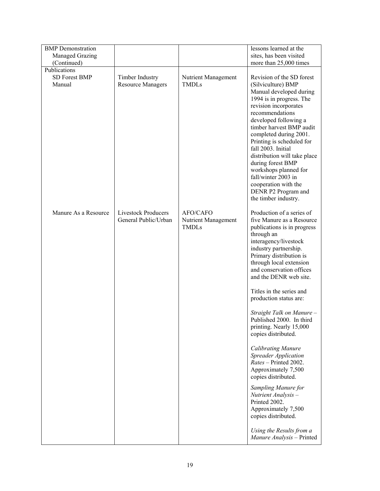| <b>BMP</b> Demonstration              |                                                    |                                                 | lessons learned at the                                                                                                                                                                                                                                                                                                                                                                                                                                                                                                                                                                                                                                                                                  |
|---------------------------------------|----------------------------------------------------|-------------------------------------------------|---------------------------------------------------------------------------------------------------------------------------------------------------------------------------------------------------------------------------------------------------------------------------------------------------------------------------------------------------------------------------------------------------------------------------------------------------------------------------------------------------------------------------------------------------------------------------------------------------------------------------------------------------------------------------------------------------------|
| <b>Managed Grazing</b><br>(Continued) |                                                    |                                                 | sites, has been visited<br>more than 25,000 times                                                                                                                                                                                                                                                                                                                                                                                                                                                                                                                                                                                                                                                       |
| Publications                          |                                                    |                                                 |                                                                                                                                                                                                                                                                                                                                                                                                                                                                                                                                                                                                                                                                                                         |
| <b>SD Forest BMP</b><br>Manual        | Timber Industry<br><b>Resource Managers</b>        | Nutrient Management<br><b>TMDLs</b>             | Revision of the SD forest<br>(Silviculture) BMP<br>Manual developed during<br>1994 is in progress. The<br>revision incorporates<br>recommendations<br>developed following a<br>timber harvest BMP audit<br>completed during 2001.<br>Printing is scheduled for<br>fall 2003. Initial<br>distribution will take place<br>during forest BMP<br>workshops planned for<br>fall/winter 2003 in<br>cooperation with the<br>DENR P2 Program and<br>the timber industry.                                                                                                                                                                                                                                        |
| Manure As a Resource                  | <b>Livestock Producers</b><br>General Public/Urban | AFO/CAFO<br>Nutrient Management<br><b>TMDLs</b> | Production of a series of<br>five Manure as a Resource<br>publications is in progress<br>through an<br>interagency/livestock<br>industry partnership.<br>Primary distribution is<br>through local extension<br>and conservation offices<br>and the DENR web site.<br>Titles in the series and<br>production status are:<br>Straight Talk on Manure -<br>Published 2000. In third<br>printing. Nearly 15,000<br>copies distributed.<br><b>Calibrating Manure</b><br>Spreader Application<br>Rates - Printed 2002.<br>Approximately 7,500<br>copies distributed.<br>Sampling Manure for<br>Nutrient Analysis -<br>Printed 2002.<br>Approximately 7,500<br>copies distributed.<br>Using the Results from a |
|                                       |                                                    |                                                 | Manure Analysis - Printed                                                                                                                                                                                                                                                                                                                                                                                                                                                                                                                                                                                                                                                                               |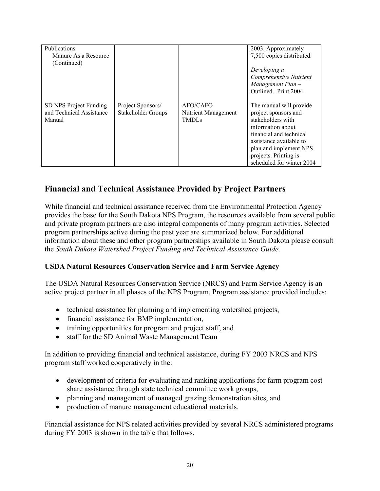| Publications                                       |                                                |                                        | 2003. Approximately                             |
|----------------------------------------------------|------------------------------------------------|----------------------------------------|-------------------------------------------------|
| Manure As a Resource                               |                                                |                                        | 7,500 copies distributed.                       |
| (Continued)                                        |                                                |                                        | Developing a                                    |
|                                                    |                                                |                                        | Comprehensive Nutrient                          |
|                                                    |                                                |                                        | Management Plan-                                |
|                                                    |                                                |                                        | Outlined. Print 2004.                           |
|                                                    |                                                |                                        |                                                 |
| SD NPS Project Funding<br>and Technical Assistance | Project Sponsors/<br><b>Stakeholder Groups</b> | <b>AFO/CAFO</b><br>Nutrient Management | The manual will provide<br>project sponsors and |
| Manual                                             |                                                | <b>TMDLs</b>                           | stakeholders with                               |
|                                                    |                                                |                                        | information about                               |
|                                                    |                                                |                                        | financial and technical                         |
|                                                    |                                                |                                        | assistance available to                         |
|                                                    |                                                |                                        | plan and implement NPS                          |
|                                                    |                                                |                                        | projects. Printing is                           |
|                                                    |                                                |                                        | scheduled for winter 2004                       |

## **Financial and Technical Assistance Provided by Project Partners**

While financial and technical assistance received from the Environmental Protection Agency provides the base for the South Dakota NPS Program, the resources available from several public and private program partners are also integral components of many program activities. Selected program partnerships active during the past year are summarized below. For additional information about these and other program partnerships available in South Dakota please consult the *South Dakota Watershed Project Funding and Technical Assistance Guide.* 

#### **USDA Natural Resources Conservation Service and Farm Service Agency**

The USDA Natural Resources Conservation Service (NRCS) and Farm Service Agency is an active project partner in all phases of the NPS Program. Program assistance provided includes:

- technical assistance for planning and implementing watershed projects,
- financial assistance for BMP implementation,
- training opportunities for program and project staff, and
- staff for the SD Animal Waste Management Team

In addition to providing financial and technical assistance, during FY 2003 NRCS and NPS program staff worked cooperatively in the:

- development of criteria for evaluating and ranking applications for farm program cost share assistance through state technical committee work groups,
- planning and management of managed grazing demonstration sites, and
- production of manure management educational materials.

Financial assistance for NPS related activities provided by several NRCS administered programs during FY 2003 is shown in the table that follows.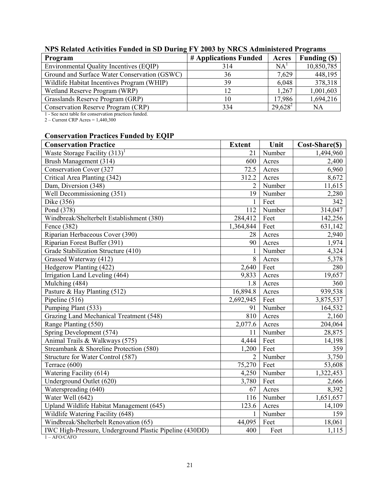| Program                                        | # Applications Funded | Acres           | Funding (\$) |
|------------------------------------------------|-----------------------|-----------------|--------------|
| <b>Environmental Quality Incentives (EQIP)</b> | 314                   | NA <sup>T</sup> | 10,850,785   |
| Ground and Surface Water Conservation (GSWC)   | 36                    | 7,629           | 448,195      |
| Wildlife Habitat Incentives Program (WHIP)     | 39                    | 6,048           | 378,318      |
| Wetland Reserve Program (WRP)                  | 12                    | 1,267           | 1,001,603    |
| Grasslands Reserve Program (GRP)               | 10                    | 17,986          | 1,694,216    |
| Conservation Reserve Program (CRP)             | 334                   | $29,628^2$      | NA           |

## **NPS Related Activities Funded in SD During FY 2003 by NRCS Administered Programs**

1 - See next table for conservation practices funded.

2 – Current CRP Acres = 1,440,300

#### **Conservation Practices Funded by EQIP**

| <b>Conservation Practice</b>                            | <b>Extent</b>  | Unit   | Cost-Share(\$) |
|---------------------------------------------------------|----------------|--------|----------------|
| Waste Storage Facility $(313)^1$                        | 21             | Number | 1,494,960      |
| Brush Management (314)                                  | 600            | Acres  | 2,400          |
| Conservation Cover (327                                 | 72.5           | Acres  | 6,960          |
| Critical Area Planting (342)                            | 312.2          | Acres  | 8,672          |
| Dam, Diversion (348)                                    | $\overline{2}$ | Number | 11,615         |
| Well Decommissioning (351)                              | 19             | Number | 2,280          |
| Dike (356)                                              | 1              | Feet   | 342            |
| Pond (378)                                              | 112            | Number | 314,047        |
| Windbreak/Shelterbelt Establishment (380)               | 284,412        | Feet   | 142,256        |
| Fence (382)                                             | 1,364,844      | Feet   | 631,142        |
| Riparian Herbaceous Cover (390)                         | 28             | Acres  | 2,940          |
| Riparian Forest Buffer (391)                            | 90             | Acres  | 1,974          |
| Grade Stabilization Structure (410)                     | 1              | Number | 4,324          |
| Grassed Waterway (412)                                  | 8              | Acres  | 5,378          |
| Hedgerow Planting (422)                                 | 2,640          | Feet   | 280            |
| Irrigation Land Leveling (464)                          | 9,833          | Acres  | 19,657         |
| Mulching (484)                                          | 1.8            | Acres  | 360            |
| Pasture & Hay Planting (512)                            | 16,894.8       | Acres  | 939,538        |
| Pipeline (516)                                          | 2,692,945      | Feet   | 3,875,537      |
| Pumping Plant (533)                                     | 91             | Number | 164,532        |
| Grazing Land Mechanical Treatment (548)                 | 810            | Acres  | 2,160          |
| Range Planting (550)                                    | 2,077.6        | Acres  | 204,064        |
| Spring Development (574)                                | 11             | Number | 28,875         |
| Animal Trails & Walkways (575)                          | 4,444          | Feet   | 14,198         |
| Streambank & Shoreline Protection (580)                 | 1,200          | Feet   | 359            |
| Structure for Water Control (587)                       | $\overline{2}$ | Number | 3,750          |
| Terrace (600)                                           | 75,270         | Feet   | 53,608         |
| Watering Facility (614)                                 | 4,250          | Number | 1,322,453      |
| Underground Outlet (620)                                | 3,780          | Feet   | 2,666          |
| Waterspreading (640)                                    | 67             | Acres  | 8,392          |
| Water Well (642)                                        | 116            | Number | 1,651,657      |
| Upland Wildlife Habitat Management (645)                | 123.6          | Acres  | 14,109         |
| Wildlife Watering Facility (648)                        | $\mathbf{1}$   | Number | 159            |
| Windbreak/Shelterbelt Renovation (65)                   | 44,095         | Feet   | 18,061         |
| IWC High-Pressure, Underground Plastic Pipeline (430DD) | 400            | Feet   | 1,115          |

 $1 - AFO/CAFO$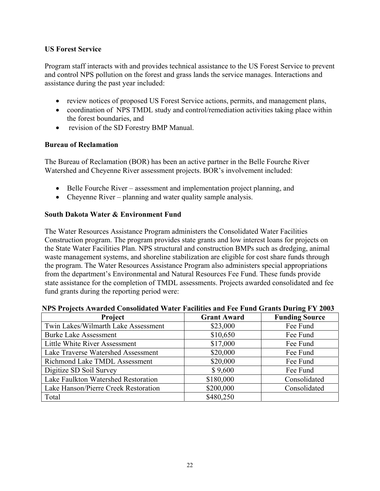#### **US Forest Service**

Program staff interacts with and provides technical assistance to the US Forest Service to prevent and control NPS pollution on the forest and grass lands the service manages. Interactions and assistance during the past year included:

- review notices of proposed US Forest Service actions, permits, and management plans,
- coordination of NPS TMDL study and control/remediation activities taking place within the forest boundaries, and
- revision of the SD Forestry BMP Manual.

#### **Bureau of Reclamation**

The Bureau of Reclamation (BOR) has been an active partner in the Belle Fourche River Watershed and Cheyenne River assessment projects. BOR's involvement included:

- Belle Fourche River assessment and implementation project planning, and
- Cheyenne River planning and water quality sample analysis.

#### **South Dakota Water & Environment Fund**

The Water Resources Assistance Program administers the Consolidated Water Facilities Construction program. The program provides state grants and low interest loans for projects on the State Water Facilities Plan. NPS structural and construction BMPs such as dredging, animal waste management systems, and shoreline stabilization are eligible for cost share funds through the program. The Water Resources Assistance Program also administers special appropriations from the department's Environmental and Natural Resources Fee Fund. These funds provide state assistance for the completion of TMDL assessments. Projects awarded consolidated and fee fund grants during the reporting period were:

| Project                              | <b>Grant Award</b> | <b>Funding Source</b> |
|--------------------------------------|--------------------|-----------------------|
| Twin Lakes/Wilmarth Lake Assessment  | \$23,000           | Fee Fund              |
| <b>Burke Lake Assessment</b>         | \$10,650           | Fee Fund              |
| Little White River Assessment        | \$17,000           | Fee Fund              |
| Lake Traverse Watershed Assessment   | \$20,000           | Fee Fund              |
| Richmond Lake TMDL Assessment        | \$20,000           | Fee Fund              |
| Digitize SD Soil Survey              | \$9,600            | Fee Fund              |
| Lake Faulkton Watershed Restoration  | \$180,000          | Consolidated          |
| Lake Hanson/Pierre Creek Restoration | \$200,000          | Consolidated          |
| Total                                | \$480,250          |                       |

#### **NPS Projects Awarded Consolidated Water Facilities and Fee Fund Grants During FY 2003**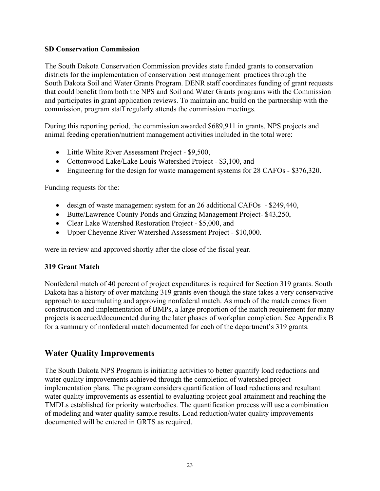#### **SD Conservation Commission**

The South Dakota Conservation Commission provides state funded grants to conservation districts for the implementation of conservation best management practices through the South Dakota Soil and Water Grants Program. DENR staff coordinates funding of grant requests that could benefit from both the NPS and Soil and Water Grants programs with the Commission and participates in grant application reviews. To maintain and build on the partnership with the commission, program staff regularly attends the commission meetings.

During this reporting period, the commission awarded \$689,911 in grants. NPS projects and animal feeding operation/nutrient management activities included in the total were:

- Little White River Assessment Project \$9,500,
- Cottonwood Lake/Lake Louis Watershed Project \$3,100, and
- Engineering for the design for waste management systems for 28 CAFOs \$376,320.

Funding requests for the:

- design of waste management system for an 26 additional CAFOs \$249,440,
- Butte/Lawrence County Ponds and Grazing Management Project- \$43,250,
- Clear Lake Watershed Restoration Project \$5,000, and
- Upper Cheyenne River Watershed Assessment Project \$10,000.

were in review and approved shortly after the close of the fiscal year.

#### **319 Grant Match**

Nonfederal match of 40 percent of project expenditures is required for Section 319 grants. South Dakota has a history of over matching 319 grants even though the state takes a very conservative approach to accumulating and approving nonfederal match. As much of the match comes from construction and implementation of BMPs, a large proportion of the match requirement for many projects is accrued/documented during the later phases of workplan completion. See Appendix B for a summary of nonfederal match documented for each of the department's 319 grants.

### **Water Quality Improvements**

The South Dakota NPS Program is initiating activities to better quantify load reductions and water quality improvements achieved through the completion of watershed project implementation plans. The program considers quantification of load reductions and resultant water quality improvements as essential to evaluating project goal attainment and reaching the TMDLs established for priority waterbodies. The quantification process will use a combination of modeling and water quality sample results. Load reduction/water quality improvements documented will be entered in GRTS as required.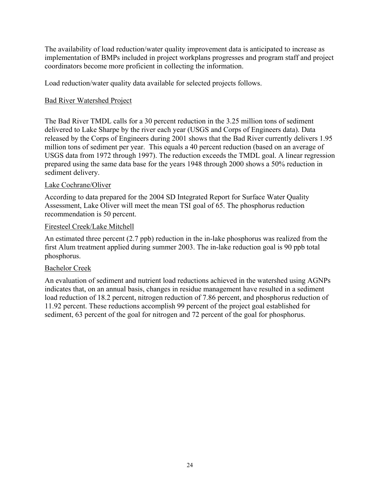The availability of load reduction/water quality improvement data is anticipated to increase as implementation of BMPs included in project workplans progresses and program staff and project coordinators become more proficient in collecting the information.

Load reduction/water quality data available for selected projects follows.

#### Bad River Watershed Project

The Bad River TMDL calls for a 30 percent reduction in the 3.25 million tons of sediment delivered to Lake Sharpe by the river each year (USGS and Corps of Engineers data). Data released by the Corps of Engineers during 2001 shows that the Bad River currently delivers 1.95 million tons of sediment per year. This equals a 40 percent reduction (based on an average of USGS data from 1972 through 1997). The reduction exceeds the TMDL goal. A linear regression prepared using the same data base for the years 1948 through 2000 shows a 50% reduction in sediment delivery.

#### Lake Cochrane/Oliver

According to data prepared for the 2004 SD Integrated Report for Surface Water Quality Assessment, Lake Oliver will meet the mean TSI goal of 65. The phosphorus reduction recommendation is 50 percent.

#### Firesteel Creek/Lake Mitchell

An estimated three percent (2.7 ppb) reduction in the in-lake phosphorus was realized from the first Alum treatment applied during summer 2003. The in-lake reduction goal is 90 ppb total phosphorus.

#### Bachelor Creek

An evaluation of sediment and nutrient load reductions achieved in the watershed using AGNPs indicates that, on an annual basis, changes in residue management have resulted in a sediment load reduction of 18.2 percent, nitrogen reduction of 7.86 percent, and phosphorus reduction of 11.92 percent. These reductions accomplish 99 percent of the project goal established for sediment, 63 percent of the goal for nitrogen and 72 percent of the goal for phosphorus.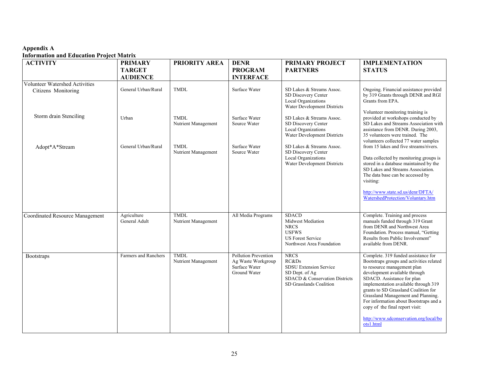#### **Appendix A**

#### **Information and Education Project Matrix**

| <b>ACTIVITY</b>                        | <b>PRIMARY</b>               | PRIORITY AREA                      | <b>DENR</b>                                                                        | <b>PRIMARY PROJECT</b>                                                                                                           | <b>IMPLEMENTATION</b>                                                                                                                                                                                                                                                                                                                                                                                                                   |
|----------------------------------------|------------------------------|------------------------------------|------------------------------------------------------------------------------------|----------------------------------------------------------------------------------------------------------------------------------|-----------------------------------------------------------------------------------------------------------------------------------------------------------------------------------------------------------------------------------------------------------------------------------------------------------------------------------------------------------------------------------------------------------------------------------------|
|                                        | <b>TARGET</b>                |                                    | <b>PROGRAM</b>                                                                     | <b>PARTNERS</b>                                                                                                                  | <b>STATUS</b>                                                                                                                                                                                                                                                                                                                                                                                                                           |
|                                        | <b>AUDIENCE</b>              |                                    | <b>INTERFACE</b>                                                                   |                                                                                                                                  |                                                                                                                                                                                                                                                                                                                                                                                                                                         |
| Volunteer Watershed Activities         |                              |                                    |                                                                                    |                                                                                                                                  |                                                                                                                                                                                                                                                                                                                                                                                                                                         |
| Citizens Monitoring                    | General Urban/Rural          | <b>TMDL</b>                        | Surface Water                                                                      | SD Lakes & Streams Assoc.<br>SD Discovery Center<br><b>Local Organizations</b><br>Water Development Districts                    | Ongoing. Financial assistance provided<br>by 319 Grants through DENR and RGI<br>Grants from EPA.                                                                                                                                                                                                                                                                                                                                        |
| Storm drain Stenciling                 | Urban                        | TMDL<br>Nutrient Management        | Surface Water<br>Source Water                                                      | SD Lakes & Streams Assoc.<br>SD Discovery Center<br><b>Local Organizations</b><br>Water Development Districts                    | Volunteer monitoring training is<br>provided at workshops conducted by<br>SD Lakes and Streams Association with<br>assistance from DENR. During 2003,<br>35 volunteers were trained. The<br>volunteers collected 77 water samples                                                                                                                                                                                                       |
| Adopt*A*Stream                         | General Urban/Rural          | TMDL<br>Nutrient Management        | Surface Water<br>Source Water                                                      | SD Lakes & Streams Assoc.<br>SD Discovery Center<br><b>Local Organizations</b><br>Water Development Districts                    | from 15 lakes and five streams/rivers.<br>Data collected by monitoring groups is<br>stored in a database maintained by the<br>SD Lakes and Streams Association.<br>The data base can be accessed by<br>visiting:<br>http://www.state.sd.us/denr/DFTA/<br>WatershedProtection/Voluntary.htm                                                                                                                                              |
| <b>Coordinated Resource Management</b> | Agriculture<br>General Adult | TMDL<br>Nutrient Management        | All Media Programs                                                                 | <b>SDACD</b><br><b>Midwest Mediation</b><br><b>NRCS</b><br><b>USFWS</b><br><b>US Forest Service</b><br>Northwest Area Foundation | Complete. Training and process<br>manuals funded through 319 Grant<br>from DENR and Northwest Area<br>Foundation. Process manual, "Getting<br>Results from Public Involvement"<br>available from DENR.                                                                                                                                                                                                                                  |
| <b>Bootstraps</b>                      | Farmers and Ranchers         | <b>TMDL</b><br>Nutrient Management | <b>Pollution Prevention</b><br>Ag Waste Workgroup<br>Surface Water<br>Ground Water | <b>NRCS</b><br>RC&Ds<br>SDSU Extension Service<br>SD Dept. of Ag<br>SDACD & Conservation Districts<br>SD Grasslands Coalition    | Complete. 319 funded assistance for<br>Bootstraps groups and activities related<br>to resource management plan<br>development available through<br>SDACD. Assistance for plan<br>implementation available through 319<br>grants to SD Grassland Coalition for<br>Grassland Management and Planning.<br>For information about Bootstraps and a<br>copy of the final report visit:<br>http://www.sdconservation.org/local/bo<br>ots1.html |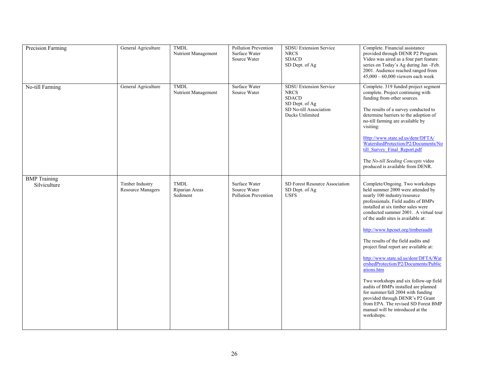| Precision Farming                   | General Agriculture                         | <b>TMDL</b><br>Nutrient Management        | <b>Pollution Prevention</b><br>Surface Water<br>Source Water | <b>SDSU Extension Service</b><br><b>NRCS</b><br><b>SDACD</b><br>SD Dept. of Ag                                              | Complete. Financial assistance<br>provided through DENR P2 Program.<br>Video was aired as a four part feature<br>series on Today's Ag during Jan-Feb.<br>2001. Audience reached ranged from<br>$45,000 - 60,000$ viewers each week                                                                                                                                                                                                                                                                                                                                                                                                                                                                                                       |
|-------------------------------------|---------------------------------------------|-------------------------------------------|--------------------------------------------------------------|-----------------------------------------------------------------------------------------------------------------------------|------------------------------------------------------------------------------------------------------------------------------------------------------------------------------------------------------------------------------------------------------------------------------------------------------------------------------------------------------------------------------------------------------------------------------------------------------------------------------------------------------------------------------------------------------------------------------------------------------------------------------------------------------------------------------------------------------------------------------------------|
| No-till Farming                     | General Agriculture                         | TMDL<br>Nutrient Management               | Surface Water<br>Source Water                                | <b>SDSU Extension Service</b><br><b>NRCS</b><br><b>SDACD</b><br>SD Dept. of Ag<br>SD No-till Association<br>Ducks Unlimited | Complete. 319 funded project segment<br>complete. Project continuing with<br>funding from other sources.<br>The results of a survey conducted to<br>determine barriers to the adoption of<br>no-till farming are available by<br>visiting:<br>Http://www.state.sd.us/denr/DFTA/<br>WatershedProtection/P2/Documents/No<br>till Survey Final Report.pdf<br>The No-till Seeding Concepts video<br>produced is available from DENR.                                                                                                                                                                                                                                                                                                         |
| <b>BMP</b> Training<br>Silviculture | Timber Industry<br><b>Resource Managers</b> | <b>TMDL</b><br>Riparian Areas<br>Sediment | Surface Water<br>Source Water<br>Pollution Prevention        | SD Forest Resource Association<br>SD Dept. of Ag<br><b>USFS</b>                                                             | Complete/Ongoing. Two workshops<br>held summer 2000 were attended by<br>nearly 100 industry/resource<br>professionals. Field audits of BMPs<br>installed at six timber sales were<br>conducted summer 2001. A virtual tour<br>of the audit sites is available at:<br>http://www.hpcnet.org/timberaudit<br>The results of the field audits and<br>project final report are available at:<br>http://www.state.sd.us/denr/DFTA/Wat<br>ershedProtection/P2/Documents/Public<br>ations.htm<br>Two workshops and six follow-up field<br>audits of BMPs installed are planned<br>for summer/fall 2004 with funding<br>provided through DENR's P2 Grant<br>from EPA. The revised SD Forest BMP<br>manual will be introduced at the<br>workshops. |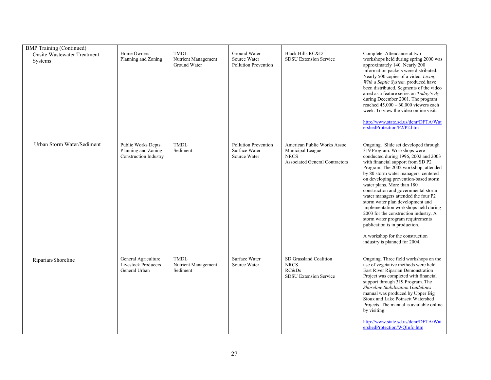| <b>BMP</b> Training (Continued)                      |                                                                     |                                                    |                                                              |                                                                                                          |                                                                                                                                                                                                                                                                                                                                                                                                                                                                                                                                                                                                                                                    |
|------------------------------------------------------|---------------------------------------------------------------------|----------------------------------------------------|--------------------------------------------------------------|----------------------------------------------------------------------------------------------------------|----------------------------------------------------------------------------------------------------------------------------------------------------------------------------------------------------------------------------------------------------------------------------------------------------------------------------------------------------------------------------------------------------------------------------------------------------------------------------------------------------------------------------------------------------------------------------------------------------------------------------------------------------|
| <b>Onsite Wastewater Treatment</b><br><b>Systems</b> | Home Owners<br>Planning and Zoning                                  | <b>TMDL</b><br>Nutrient Management<br>Ground Water | Ground Water<br>Source Water<br>Pollution Prevention         | <b>Black Hills RC&amp;D</b><br>SDSU Extension Service                                                    | Complete. Attendance at two<br>workshops held during spring 2000 was<br>approximately 140. Nearly 200<br>information packets were distributed.<br>Nearly 500 copies of a video, Living<br>With a Septic System, produced have<br>been distributed. Segments of the video<br>aired as a feature series on Today's Ag<br>during December 2001. The program<br>reached $45,000 - 60,000$ viewers each<br>week. To view the video online visit:<br>http://www.state.sd.us/denr/DFTA/Wat<br>ershedProtection/P2/P2.htm                                                                                                                                  |
| Urban Storm Water/Sediment                           | Public Works Depts.<br>Planning and Zoning<br>Construction Industry | <b>TMDL</b><br>Sediment                            | <b>Pollution Prevention</b><br>Surface Water<br>Source Water | American Public Works Assoc.<br>Municipal League<br><b>NRCS</b><br><b>Associated General Contractors</b> | Ongoing. Slide set developed through<br>319 Program. Workshops were<br>conducted during 1996, 2002 and 2003<br>with financial support from SD P2<br>Program. The 2002 workshop, attended<br>by 80 storm water managers, centered<br>on developing prevention-based storm<br>water plans. More than 180<br>construction and governmental storm<br>water managers attended the four P2<br>storm water plan development and<br>implementation workshops held during<br>2003 for the construction industry. A<br>storm water program requirements<br>publication is in production.<br>A workshop for the construction<br>industry is planned for 2004. |
| Riparian/Shoreline                                   | General Agriculture<br><b>Livestock Producers</b><br>General Urban  | <b>TMDL</b><br>Nutrient Management<br>Sediment     | Surface Water<br>Source Water                                | SD Grassland Coalition<br><b>NRCS</b><br>RC&Ds<br><b>SDSU Extension Service</b>                          | Ongoing. Three field workshops on the<br>use of vegetative methods were held.<br>East River Riparian Demonstration<br>Project was completed with financial<br>support through 319 Program. The<br>Shoreline Stabilization Guidelines<br>manual was produced by Upper Big<br>Sioux and Lake Poinsett Watershed<br>Projects. The manual is available online<br>by visiting:<br>http://www.state.sd.us/denr/DFTA/Wat<br>ershedProtection/WOInfo.htm                                                                                                                                                                                                   |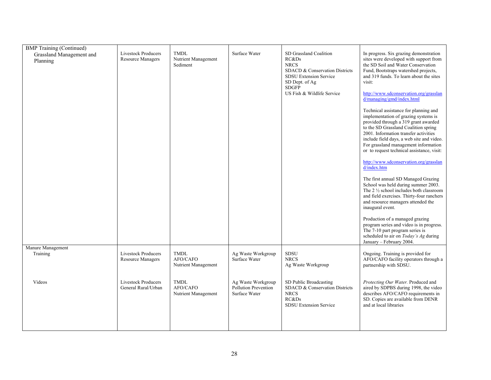| <b>BMP</b> Training (Continued)      |                                                        |                                                |                                                             |                                                                                                                                                                                   |                                                                                                                                                                                                                                                                                                                                                                                                                                                                                                                                                                                                                                                                                                                                                                                                                                                                                                                                                                                                                                                                                                                                                   |
|--------------------------------------|--------------------------------------------------------|------------------------------------------------|-------------------------------------------------------------|-----------------------------------------------------------------------------------------------------------------------------------------------------------------------------------|---------------------------------------------------------------------------------------------------------------------------------------------------------------------------------------------------------------------------------------------------------------------------------------------------------------------------------------------------------------------------------------------------------------------------------------------------------------------------------------------------------------------------------------------------------------------------------------------------------------------------------------------------------------------------------------------------------------------------------------------------------------------------------------------------------------------------------------------------------------------------------------------------------------------------------------------------------------------------------------------------------------------------------------------------------------------------------------------------------------------------------------------------|
| Grassland Management and<br>Planning | <b>Livestock Producers</b><br><b>Resource Managers</b> | <b>TMDL</b><br>Nutrient Management<br>Sediment | Surface Water                                               | SD Grassland Coalition<br>RC&Ds<br><b>NRCS</b><br>SDACD & Conservation Districts<br><b>SDSU Extension Service</b><br>SD Dept. of Ag<br><b>SDGFP</b><br>US Fish & Wildlife Service | In progress. Six grazing demonstration<br>sites were developed with support from<br>the SD Soil and Water Conservation<br>Fund, Bootstraps watershed projects,<br>and 319 funds. To learn about the sites<br>visit:<br>http://www.sdconservation.org/grasslan<br>$\frac{d}{\text{manging/gmd/index.html}}$<br>Technical assistance for planning and<br>implementation of grazing systems is<br>provided through a 319 grant awarded<br>to the SD Grassland Coalition spring<br>2001. Information transfer activities<br>include field days, a web site and video.<br>For grassland management information<br>or to request technical assistance, visit:<br>http://www.sdconservation.org/grasslan<br>d/index.htm<br>The first annual SD Managed Grazing<br>School was held during summer 2003.<br>The $2\frac{1}{2}$ school includes both classroom<br>and field exercises. Thirty-four ranchers<br>and resource managers attended the<br>inaugural event.<br>Production of a managed grazing<br>program series and video is in progress.<br>The 7-10 part program series is<br>scheduled to air on Today's Ag during<br>January - February 2004. |
| Manure Management<br>Training        | Livestock Producers<br><b>Resource Managers</b>        | <b>TMDL</b><br>AFO/CAFO<br>Nutrient Management | Ag Waste Workgroup<br>Surface Water                         | <b>SDSU</b><br><b>NRCS</b><br>Ag Waste Workgroup                                                                                                                                  | Ongoing. Training is provided for<br>AFO/CAFO facility operators through a<br>partnership with SDSU.                                                                                                                                                                                                                                                                                                                                                                                                                                                                                                                                                                                                                                                                                                                                                                                                                                                                                                                                                                                                                                              |
| Videos                               | <b>Livestock Producers</b><br>General Rural/Urban      | <b>TMDL</b><br>AFO/CAFO<br>Nutrient Management | Ag Waste Workgroup<br>Pollution Prevention<br>Surface Water | SD Public Broadcasting<br>SDACD & Conservation Districts<br><b>NRCS</b><br>RC&Ds<br><b>SDSU</b> Extension Service                                                                 | Protecting Our Water. Produced and<br>aired by SDPBS during 1998, the video<br>describes AFO/CAFO requirements in<br>SD. Copies are available from DENR<br>and at local libraries                                                                                                                                                                                                                                                                                                                                                                                                                                                                                                                                                                                                                                                                                                                                                                                                                                                                                                                                                                 |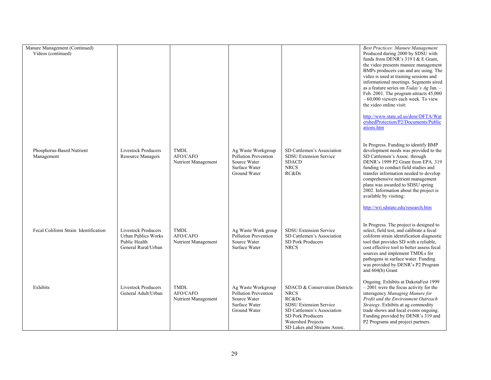| Manure Management (Continued)<br>Videos (continued) |                                                                                                  |                                                |                                                                                             |                                                                                                                                                                                                 | <b>Best Practices: Manure Management</b><br>Produced during 2000 by SDSU with<br>funds from DENR's 319 I & E Grant,<br>the video presents manure management<br>BMPs producers can and are using. The<br>video is used at training sessions and<br>informational meetings. Segments aired<br>as a feature series on Today's Ag Jan. -<br>Feb. 2001. The program attracts 45,000<br>$-60,000$ viewers each week. To view |
|-----------------------------------------------------|--------------------------------------------------------------------------------------------------|------------------------------------------------|---------------------------------------------------------------------------------------------|-------------------------------------------------------------------------------------------------------------------------------------------------------------------------------------------------|------------------------------------------------------------------------------------------------------------------------------------------------------------------------------------------------------------------------------------------------------------------------------------------------------------------------------------------------------------------------------------------------------------------------|
|                                                     |                                                                                                  |                                                |                                                                                             |                                                                                                                                                                                                 | the video online visit:<br>http://www.state.sd.us/denr/DFTA/Wat<br>ershedProtection/P2/Documents/Public<br>ations.htm                                                                                                                                                                                                                                                                                                  |
| Phosphorus-Based Nutrient<br>Management             | <b>Livestock Producers</b><br><b>Resource Managers</b>                                           | <b>TMDL</b><br>AFO/CAFO<br>Nutrient Management | Ag Waste Workgroup<br>Pollution Prevention<br>Source Water<br>Surface Water<br>Ground Water | SD Cattlemen's Association<br><b>SDSU Extension Service</b><br><b>SDACD</b><br><b>NRCS</b><br>RC&Ds                                                                                             | In Progress. Funding to identify BMP<br>development needs was provided to the<br>SD Cattlemen's Assoc. through<br>DENR's 1999 P2 Grant from EPA. 319<br>funding to conduct field studies and<br>transfer information needed to develop<br>comprehensive nutrient management<br>plans was awarded to SDSU spring<br>2002. Information about the project is<br>available by visiting:                                    |
| Fecal Coliform Strain Identification                | <b>Livestock Producers</b><br><b>Urban Publics Works</b><br>Public Health<br>General Rural/Urban | <b>TMDL</b><br>AFO/CAFO<br>Nutrient Management | Ag Waste Work group<br><b>Pollution Prevention</b><br>Source Water<br>Surface Water         | <b>SDSU</b> Extension Service<br>SD Cattlemen's Association<br><b>SD Pork Producers</b><br><b>NRCS</b>                                                                                          | http://wri.sdstate.edu/research.htm<br>In Progress. The project is designed to<br>select, field test, and calibrate a fecal<br>coliform strain identification diagnostic<br>tool that provides SD with a reliable,<br>cost effective tool to better assess fecal<br>sources and implement TMDLs for<br>pathogens in surface water. Funding<br>was provided by DENR's P2 Program<br>and 604(b) Grant                    |
| Exhibits                                            | <b>Livestock Producers</b><br>General Adult/Urban                                                | <b>TMDL</b><br>AFO/CAFO<br>Nutrient Management | Ag Waste Workgroup<br>Pollution Prevention<br>Source Water<br>Surface Water<br>Ground Water | SDACD & Conservation Districts<br><b>NRCS</b><br>RC&Ds<br><b>SDSU Extension Service</b><br>SD Cattlemen's Association<br>SD Pork Producers<br>Watershed Projects<br>SD Lakes and Streams Assoc. | Ongoing. Exhibits at DakotaFest 1999<br>$-2001$ were the focus activity for the<br>interagency Managing Manure for<br>Profit and the Environment Outreach<br>Strategy. Exhibits at ag commodity<br>trade shows and local events ongoing.<br>Funding provided by DENR's 319 and<br>P2 Programs and project partners.                                                                                                    |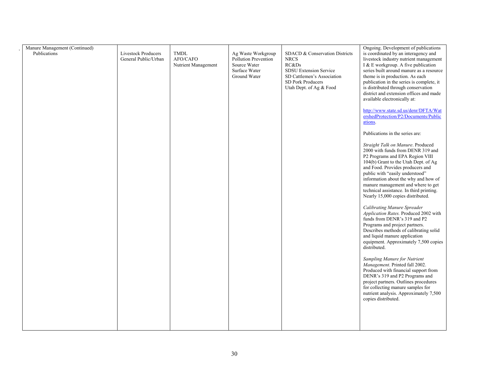| Manure Management (Continued)<br>Publications | <b>Livestock Producers</b><br>General Public/Urban | <b>TMDL</b><br>AFO/CAFO<br>Nutrient Management | Ag Waste Workgroup<br>Pollution Prevention<br>Source Water<br>Surface Water<br>Ground Water | SDACD & Conservation Districts<br><b>NRCS</b><br>RC&Ds<br><b>SDSU Extension Service</b><br>SD Cattlemen's Association<br><b>SD Pork Producers</b><br>Utah Dept. of Ag & Food | Ongoing. Development of publications<br>is coordinated by an interagency and<br>livestock industry nutrient management<br>I & E workgroup. A five publication<br>series built around manure as a resource<br>theme is in production. As each<br>publication in the series is complete, it<br>is distributed through conservation<br>district and extension offices and made<br>available electronically at:<br>http://www.state.sd.us/denr/DFTA/Wat<br>ershedProtection/P2/Documents/Public<br>ations.<br>Publications in the series are:<br>Straight Talk on Manure. Produced<br>2000 with funds from DENR 319 and<br>P2 Programs and EPA Region VIII<br>104(b) Grant to the Utah Dept. of Ag<br>and Food. Provides producers and<br>public with "easily understood"<br>information about the why and how of<br>manure management and where to get<br>technical assistance. In third printing.<br>Nearly 15,000 copies distributed.<br><b>Calibrating Manure Spreader</b><br>Application Rates. Produced 2002 with<br>funds from DENR's 319 and P2<br>Programs and project partners.<br>Describes methods of calibrating solid<br>and liquid manure application<br>equipment. Approximately 7,500 copies<br>distributed.<br>Sampling Manure for Nutrient |
|-----------------------------------------------|----------------------------------------------------|------------------------------------------------|---------------------------------------------------------------------------------------------|------------------------------------------------------------------------------------------------------------------------------------------------------------------------------|-----------------------------------------------------------------------------------------------------------------------------------------------------------------------------------------------------------------------------------------------------------------------------------------------------------------------------------------------------------------------------------------------------------------------------------------------------------------------------------------------------------------------------------------------------------------------------------------------------------------------------------------------------------------------------------------------------------------------------------------------------------------------------------------------------------------------------------------------------------------------------------------------------------------------------------------------------------------------------------------------------------------------------------------------------------------------------------------------------------------------------------------------------------------------------------------------------------------------------------------------------------|
|                                               |                                                    |                                                |                                                                                             |                                                                                                                                                                              | Management. Printed fall 2002.<br>Produced with financial support from<br>DENR's 319 and P2 Programs and<br>project partners. Outlines procedures<br>for collecting manure samples for<br>nutrient analysis. Approximately 7,500<br>copies distributed.                                                                                                                                                                                                                                                                                                                                                                                                                                                                                                                                                                                                                                                                                                                                                                                                                                                                                                                                                                                                   |
|                                               |                                                    |                                                |                                                                                             |                                                                                                                                                                              |                                                                                                                                                                                                                                                                                                                                                                                                                                                                                                                                                                                                                                                                                                                                                                                                                                                                                                                                                                                                                                                                                                                                                                                                                                                           |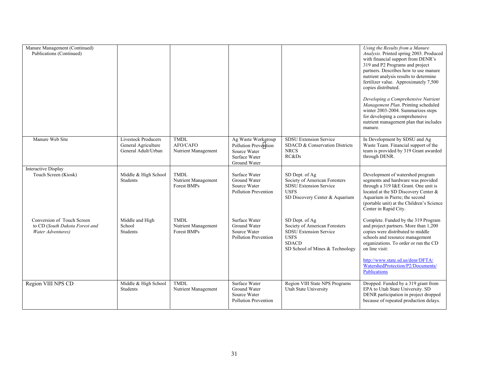| Manure Management (Continued)<br>Publications (Continued)                         |                                                                          |                                                   |                                                                                             |                                                                                                                                                    | Using the Results from a Manure<br>Analysis. Printed spring 2003. Produced<br>with financial support from DENR's<br>319 and P2 Programs and project<br>partners. Describes how to use manure<br>nutrient analysis results to determine<br>fertilizer value. Approximately 7,500<br>copies distributed.<br>Developing a Comprehensive Nutrient<br>Management Plan. Printing scheduled<br>winter 2003-2004. Summarizes steps<br>for developing a comprehensive<br>nutrient management plan that includes<br>manure. |
|-----------------------------------------------------------------------------------|--------------------------------------------------------------------------|---------------------------------------------------|---------------------------------------------------------------------------------------------|----------------------------------------------------------------------------------------------------------------------------------------------------|-------------------------------------------------------------------------------------------------------------------------------------------------------------------------------------------------------------------------------------------------------------------------------------------------------------------------------------------------------------------------------------------------------------------------------------------------------------------------------------------------------------------|
| Manure Web Site                                                                   | <b>Livestock Producers</b><br>General Agriculture<br>General Adult/Urban | <b>TMDL</b><br>AFO/CAFO<br>Nutrient Management    | Ag Waste Workgroup<br>Pollution Prevention<br>Source Water<br>Surface Water<br>Ground Water | <b>SDSU Extension Service</b><br>SDACD & Conservation Districts<br><b>NRCS</b><br>RC&Ds                                                            | In Development by SDSU and Ag<br>Waste Team. Financial support of the<br>team is provided by 319 Grant awarded<br>through DENR.                                                                                                                                                                                                                                                                                                                                                                                   |
| Interactive Display<br>Touch Screen (Kiosk)                                       | Middle & High School<br>Students                                         | <b>TMDL</b><br>Nutrient Management<br>Forest BMPs | Surface Water<br>Ground Water<br>Source Water<br><b>Pollution Prevention</b>                | SD Dept. of Ag<br>Society of American Foresters<br><b>SDSU Extension Service</b><br><b>USFS</b><br>SD Discovery Center & Aquarium                  | Development of watershed program<br>segments and hardware was provided<br>through a 319 I&E Grant. One unit is<br>located at the SD Discovery Center &<br>Aquarium in Pierre; the second<br>(portable unit) at the Children's Science<br>Center in Rapid City.                                                                                                                                                                                                                                                    |
| Conversion of Touch Screen<br>to CD (South Dakota Forest and<br>Water Adventures) | Middle and High<br>School<br>Students                                    | <b>TMDL</b><br>Nutrient Management<br>Forest BMPs | Surface Water<br>Ground Water<br>Source Water<br>Pollution Prevention                       | SD Dept. of Ag<br>Society of American Foresters<br><b>SDSU Extension Service</b><br><b>USFS</b><br><b>SDACD</b><br>SD School of Mines & Technology | Complete. Funded by the 319 Program<br>and project partners. More than 1,200<br>copies were distributed to middle<br>schools and resource management<br>organizations. To order or run the CD<br>on line visit:<br>http://www.state.sd.us/denr/DFTA/                                                                                                                                                                                                                                                              |
|                                                                                   |                                                                          |                                                   |                                                                                             |                                                                                                                                                    | WatershedProtection/P2/Documents/<br>Publications                                                                                                                                                                                                                                                                                                                                                                                                                                                                 |
| Region VIII NPS CD                                                                | Middle & High School<br>Students                                         | <b>TMDL</b><br>Nutrient Management                | Surface Water<br>Ground Water<br>Source Water<br><b>Pollution Prevention</b>                | Region VIII State NPS Programs<br>Utah State University                                                                                            | Dropped. Funded by a 319 grant from<br>EPA to Utah State University. SD<br>DENR participation in project dropped<br>because of repeated production delays.                                                                                                                                                                                                                                                                                                                                                        |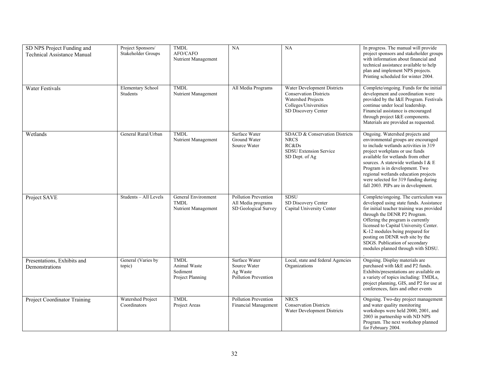| SD NPS Project Funding and<br><b>Technical Assistance Manual</b> | Project Sponsors/<br>Stakeholder Groups | <b>TMDL</b><br>AFO/CAFO<br>Nutrient Management              | <b>NA</b>                                                                 | NA                                                                                                                                 | In progress. The manual will provide<br>project sponsors and stakeholder groups<br>with information about financial and<br>technical assistance available to help<br>plan and implement NPS projects.<br>Printing scheduled for winter 2004.                                                                                                                                              |
|------------------------------------------------------------------|-----------------------------------------|-------------------------------------------------------------|---------------------------------------------------------------------------|------------------------------------------------------------------------------------------------------------------------------------|-------------------------------------------------------------------------------------------------------------------------------------------------------------------------------------------------------------------------------------------------------------------------------------------------------------------------------------------------------------------------------------------|
| <b>Water Festivals</b>                                           | <b>Elementary School</b><br>Students    | <b>TMDL</b><br>Nutrient Management                          | All Media Programs                                                        | Water Development Districts<br><b>Conservation Districts</b><br>Watershed Projects<br>Colleges/Universities<br>SD Discovery Center | Complete/ongoing. Funds for the initial<br>development and coordination were<br>provided by the I&E Program. Festivals<br>continue under local leadership.<br>Financial assistance is encouraged<br>through project I&E components.<br>Materials are provided as requested.                                                                                                               |
| Wetlands                                                         | General Rural/Urban                     | TMDL<br>Nutrient Management                                 | Surface Water<br>Ground Water<br>Source Water                             | SDACD & Conservation Districts<br><b>NRCS</b><br>RC&Ds<br><b>SDSU Extension Service</b><br>SD Dept. of Ag                          | Ongoing. Watershed projects and<br>environmental groups are encouraged<br>to include wetlands activities in 319<br>project workplans or use funds<br>available for wetlands from other<br>sources. A statewide wetlands I & E<br>Program is in development. Two<br>regional wetlands education projects<br>were selected for 319 funding during<br>fall 2003. PIPs are in development.    |
| Project SAVE                                                     | Students - All Levels                   | General Environment<br><b>TMDL</b><br>Nutrient Management   | <b>Pollution Prevention</b><br>All Media programs<br>SD Geological Survey | <b>SDSU</b><br>SD Discovery Center<br>Capital University Center                                                                    | Complete/ongoing. The curriculum was<br>developed using state funds. Assistance<br>for initial teacher training was provided<br>through the DENR P2 Program.<br>Offering the program is currently<br>licensed to Capital University Center.<br>K-12 modules being prepared for<br>posting on DENR web site by the<br>SDGS. Publication of secondary<br>modules planned through with SDSU. |
| Presentations, Exhibits and<br>Demonstrations                    | General (Varies by<br>topic)            | <b>TMDL</b><br>Animal Waste<br>Sediment<br>Project Planning | Surface Water<br>Source Water<br>Ag Waste<br>Pollution Prevention         | Local, state and federal Agencies<br>Organizations                                                                                 | Ongoing. Display materials are<br>purchased with I&E and P2 funds.<br>Exhibits/presentations are available on<br>a variety of topics including: TMDLs,<br>project planning, GIS, and P2 for use at<br>conferences, fairs and other events                                                                                                                                                 |
| Project Coordinator Training                                     | Watershed Project<br>Coordinators       | <b>TMDL</b><br>Project Areas                                | Pollution Prevention<br>Financial Management                              | <b>NRCS</b><br><b>Conservation Districts</b><br>Water Development Districts                                                        | Ongoing. Two-day project management<br>and water quality monitoring<br>workshops were held 2000, 2001, and<br>2003 in partnership with ND NPS<br>Program. The next workshop planned<br>for February 2004.                                                                                                                                                                                 |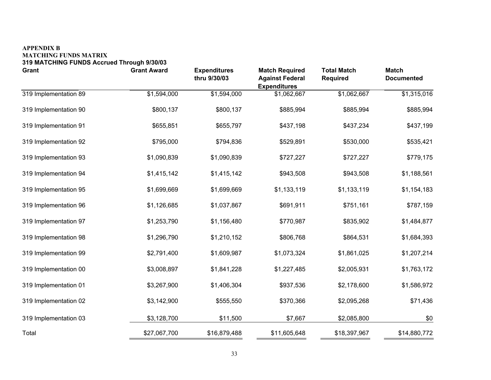#### **APPENDIX B MATCHING FUNDS MATRIX 319 MATCHING FUNDS Accrued Through 9/30/03**

| <b>Grant</b>          | <b>Grant Award</b> | <b>Expenditures</b><br>thru 9/30/03 | <b>Match Required</b><br><b>Against Federal</b><br><b>Expenditures</b> | <b>Total Match</b><br><b>Required</b> | <b>Match</b><br><b>Documented</b> |
|-----------------------|--------------------|-------------------------------------|------------------------------------------------------------------------|---------------------------------------|-----------------------------------|
| 319 Implementation 89 | \$1,594,000        | \$1,594,000                         | \$1,062,667                                                            | \$1,062,667                           | \$1,315,016                       |
| 319 Implementation 90 | \$800,137          | \$800,137                           | \$885,994                                                              | \$885,994                             | \$885,994                         |
| 319 Implementation 91 | \$655,851          | \$655,797                           | \$437,198                                                              | \$437,234                             | \$437,199                         |
| 319 Implementation 92 | \$795,000          | \$794,836                           | \$529,891                                                              | \$530,000                             | \$535,421                         |
| 319 Implementation 93 | \$1,090,839        | \$1,090,839                         | \$727,227                                                              | \$727,227                             | \$779,175                         |
| 319 Implementation 94 | \$1,415,142        | \$1,415,142                         | \$943,508                                                              | \$943,508                             | \$1,188,561                       |
| 319 Implementation 95 | \$1,699,669        | \$1,699,669                         | \$1,133,119                                                            | \$1,133,119                           | \$1,154,183                       |
| 319 Implementation 96 | \$1,126,685        | \$1,037,867                         | \$691,911                                                              | \$751,161                             | \$787,159                         |
| 319 Implementation 97 | \$1,253,790        | \$1,156,480                         | \$770,987                                                              | \$835,902                             | \$1,484,877                       |
| 319 Implementation 98 | \$1,296,790        | \$1,210,152                         | \$806,768                                                              | \$864,531                             | \$1,684,393                       |
| 319 Implementation 99 | \$2,791,400        | \$1,609,987                         | \$1,073,324                                                            | \$1,861,025                           | \$1,207,214                       |
| 319 Implementation 00 | \$3,008,897        | \$1,841,228                         | \$1,227,485                                                            | \$2,005,931                           | \$1,763,172                       |
| 319 Implementation 01 | \$3,267,900        | \$1,406,304                         | \$937,536                                                              | \$2,178,600                           | \$1,586,972                       |
| 319 Implementation 02 | \$3,142,900        | \$555,550                           | \$370,366                                                              | \$2,095,268                           | \$71,436                          |
| 319 Implementation 03 | \$3,128,700        | \$11,500                            | \$7,667                                                                | \$2,085,800                           | \$0                               |
| Total                 | \$27,067,700       | \$16,879,488                        | \$11,605,648                                                           | \$18,397,967                          | \$14,880,772                      |